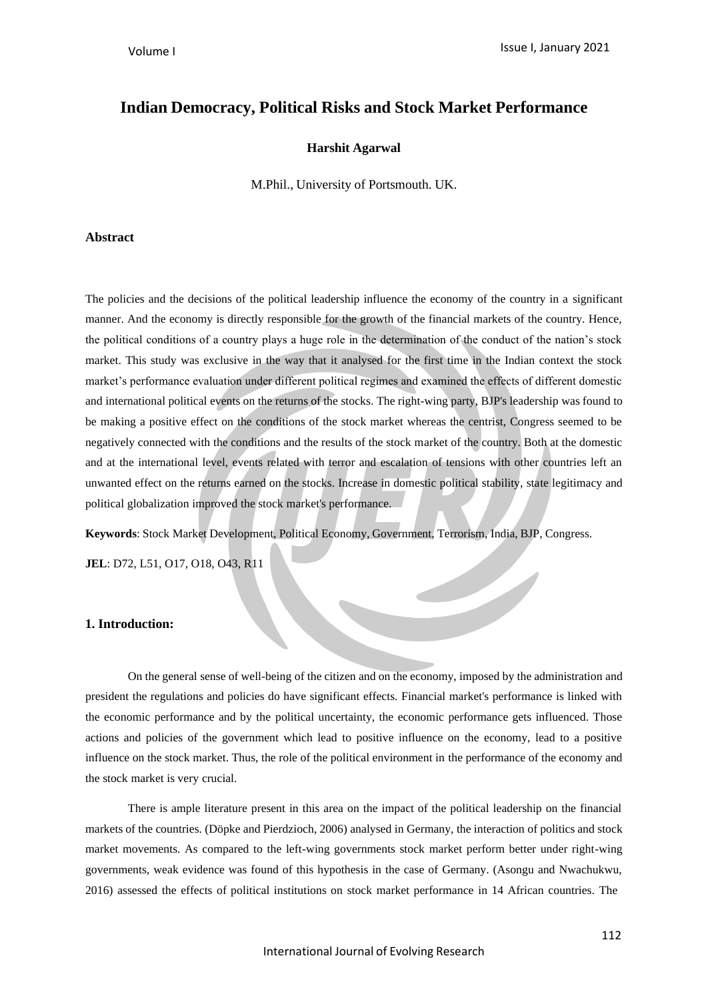# **Indian Democracy, Political Risks and Stock Market Performance**

### **Harshit Agarwal**

M.Phil., University of Portsmouth. UK.

### **Abstract**

The policies and the decisions of the political leadership influence the economy of the country in a significant manner. And the economy is directly responsible for the growth of the financial markets of the country. Hence, the political conditions of a country plays a huge role in the determination of the conduct of the nation's stock market. This study was exclusive in the way that it analysed for the first time in the Indian context the stock market's performance evaluation under different political regimes and examined the effects of different domestic and international political events on the returns of the stocks. The right-wing party, BJP's leadership was found to be making a positive effect on the conditions of the stock market whereas the centrist, Congress seemed to be negatively connected with the conditions and the results of the stock market of the country. Both at the domestic and at the international level, events related with terror and escalation of tensions with other countries left an unwanted effect on the returns earned on the stocks. Increase in domestic political stability, state legitimacy and political globalization improved the stock market's performance.

**Keywords**: Stock Market Development, Political Economy, Government, Terrorism, India, BJP, Congress.

**JEL**: D72, L51, O17, O18, O43, R11

### **1. Introduction:**

On the general sense of well-being of the citizen and on the economy, imposed by the administration and president the regulations and policies do have significant effects. Financial market's performance is linked with the economic performance and by the political uncertainty, the economic performance gets influenced. Those actions and policies of the government which lead to positive influence on the economy, lead to a positive influence on the stock market. Thus, the role of the political environment in the performance of the economy and the stock market is very crucial.

There is ample literature present in this area on the impact of the political leadership on the financial markets of the countries. (Döpke and Pierdzioch, 2006) analysed in Germany, the interaction of politics and stock market movements. As compared to the left-wing governments stock market perform better under right-wing governments, weak evidence was found of this hypothesis in the case of Germany. (Asongu and Nwachukwu, 2016) assessed the effects of political institutions on stock market performance in 14 African countries. The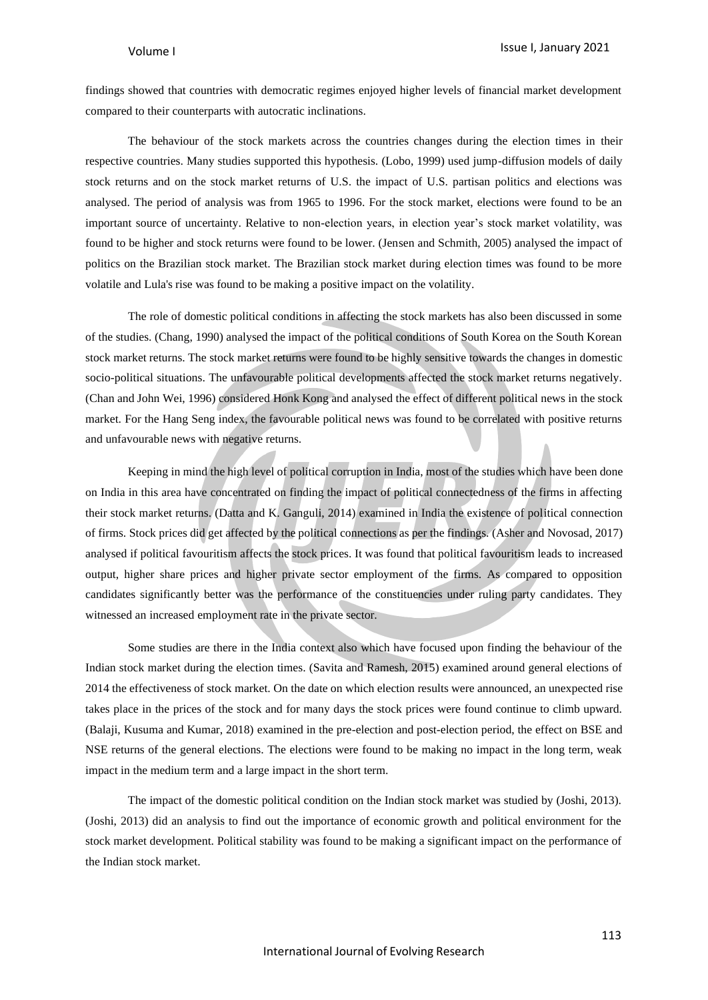findings showed that countries with democratic regimes enjoyed higher levels of financial market development compared to their counterparts with autocratic inclinations.

The behaviour of the stock markets across the countries changes during the election times in their respective countries. Many studies supported this hypothesis. (Lobo, 1999) used jump-diffusion models of daily stock returns and on the stock market returns of U.S. the impact of U.S. partisan politics and elections was analysed. The period of analysis was from 1965 to 1996. For the stock market, elections were found to be an important source of uncertainty. Relative to non-election years, in election year's stock market volatility, was found to be higher and stock returns were found to be lower. (Jensen and Schmith, 2005) analysed the impact of politics on the Brazilian stock market. The Brazilian stock market during election times was found to be more volatile and Lula's rise was found to be making a positive impact on the volatility.

The role of domestic political conditions in affecting the stock markets has also been discussed in some of the studies. (Chang, 1990) analysed the impact of the political conditions of South Korea on the South Korean stock market returns. The stock market returns were found to be highly sensitive towards the changes in domestic socio-political situations. The unfavourable political developments affected the stock market returns negatively. (Chan and John Wei, 1996) considered Honk Kong and analysed the effect of different political news in the stock market. For the Hang Seng index, the favourable political news was found to be correlated with positive returns and unfavourable news with negative returns.

Keeping in mind the high level of political corruption in India, most of the studies which have been done on India in this area have concentrated on finding the impact of political connectedness of the firms in affecting their stock market returns. (Datta and K. Ganguli, 2014) examined in India the existence of political connection of firms. Stock prices did get affected by the political connections as per the findings. (Asher and Novosad, 2017) analysed if political favouritism affects the stock prices. It was found that political favouritism leads to increased output, higher share prices and higher private sector employment of the firms. As compared to opposition candidates significantly better was the performance of the constituencies under ruling party candidates. They witnessed an increased employment rate in the private sector.

Some studies are there in the India context also which have focused upon finding the behaviour of the Indian stock market during the election times. (Savita and Ramesh, 2015) examined around general elections of 2014 the effectiveness of stock market. On the date on which election results were announced, an unexpected rise takes place in the prices of the stock and for many days the stock prices were found continue to climb upward. (Balaji, Kusuma and Kumar, 2018) examined in the pre-election and post-election period, the effect on BSE and NSE returns of the general elections. The elections were found to be making no impact in the long term, weak impact in the medium term and a large impact in the short term.

The impact of the domestic political condition on the Indian stock market was studied by (Joshi, 2013). (Joshi, 2013) did an analysis to find out the importance of economic growth and political environment for the stock market development. Political stability was found to be making a significant impact on the performance of the Indian stock market.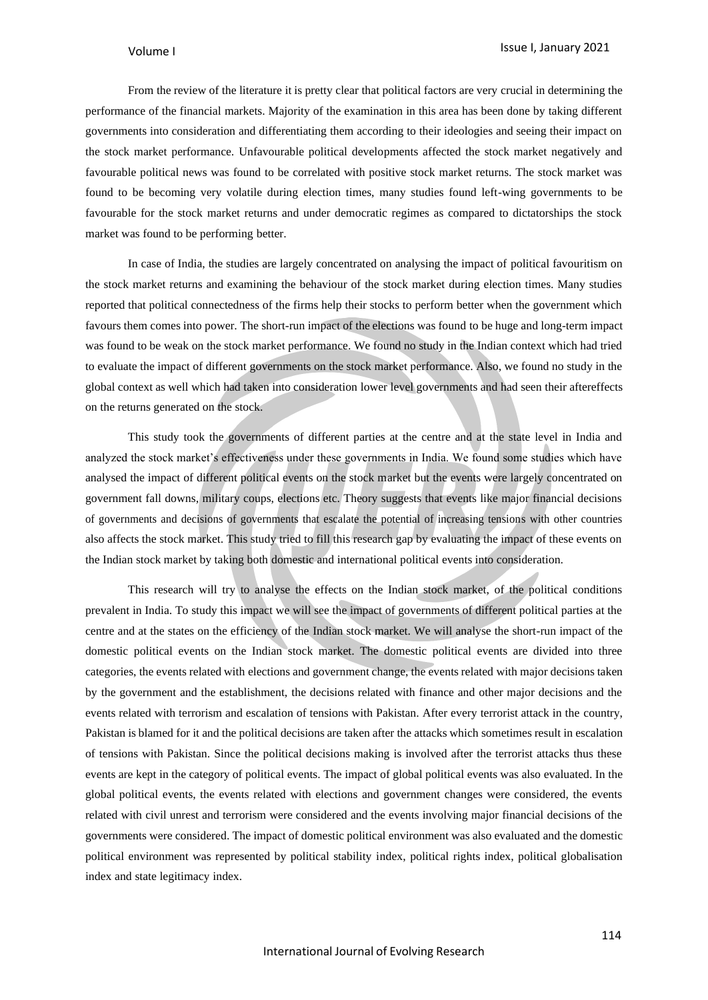From the review of the literature it is pretty clear that political factors are very crucial in determining the performance of the financial markets. Majority of the examination in this area has been done by taking different governments into consideration and differentiating them according to their ideologies and seeing their impact on the stock market performance. Unfavourable political developments affected the stock market negatively and favourable political news was found to be correlated with positive stock market returns. The stock market was found to be becoming very volatile during election times, many studies found left-wing governments to be favourable for the stock market returns and under democratic regimes as compared to dictatorships the stock market was found to be performing better.

In case of India, the studies are largely concentrated on analysing the impact of political favouritism on the stock market returns and examining the behaviour of the stock market during election times. Many studies reported that political connectedness of the firms help their stocks to perform better when the government which favours them comes into power. The short-run impact of the elections was found to be huge and long-term impact was found to be weak on the stock market performance. We found no study in the Indian context which had tried to evaluate the impact of different governments on the stock market performance. Also, we found no study in the global context as well which had taken into consideration lower level governments and had seen their aftereffects on the returns generated on the stock.

This study took the governments of different parties at the centre and at the state level in India and analyzed the stock market's effectiveness under these governments in India. We found some studies which have analysed the impact of different political events on the stock market but the events were largely concentrated on government fall downs, military coups, elections etc. Theory suggests that events like major financial decisions of governments and decisions of governments that escalate the potential of increasing tensions with other countries also affects the stock market. This study tried to fill this research gap by evaluating the impact of these events on the Indian stock market by taking both domestic and international political events into consideration.

This research will try to analyse the effects on the Indian stock market, of the political conditions prevalent in India. To study this impact we will see the impact of governments of different political parties at the centre and at the states on the efficiency of the Indian stock market. We will analyse the short-run impact of the domestic political events on the Indian stock market. The domestic political events are divided into three categories, the events related with elections and government change, the events related with major decisions taken by the government and the establishment, the decisions related with finance and other major decisions and the events related with terrorism and escalation of tensions with Pakistan. After every terrorist attack in the country, Pakistan is blamed for it and the political decisions are taken after the attacks which sometimes result in escalation of tensions with Pakistan. Since the political decisions making is involved after the terrorist attacks thus these events are kept in the category of political events. The impact of global political events was also evaluated. In the global political events, the events related with elections and government changes were considered, the events related with civil unrest and terrorism were considered and the events involving major financial decisions of the governments were considered. The impact of domestic political environment was also evaluated and the domestic political environment was represented by political stability index, political rights index, political globalisation index and state legitimacy index.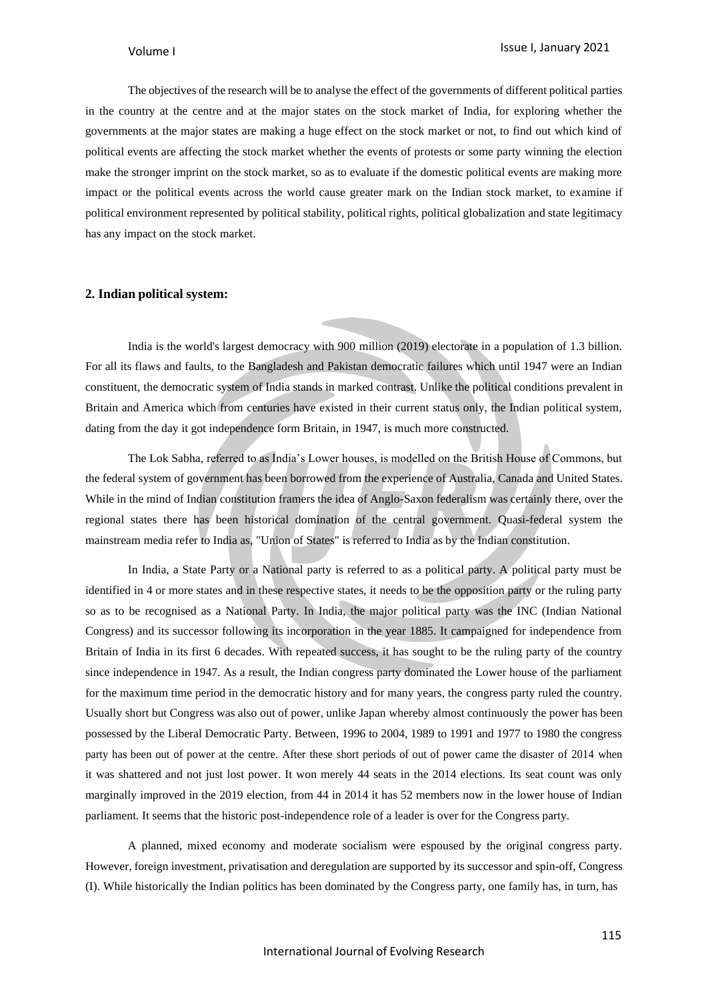The objectives of the research will be to analyse the effect of the governments of different political parties in the country at the centre and at the major states on the stock market of India, for exploring whether the governments at the major states are making a huge effect on the stock market or not, to find out which kind of political events are affecting the stock market whether the events of protests or some party winning the election make the stronger imprint on the stock market, so as to evaluate if the domestic political events are making more impact or the political events across the world cause greater mark on the Indian stock market, to examine if political environment represented by political stability, political rights, political globalization and state legitimacy has any impact on the stock market.

### **2. Indian political system:**

India is the world's largest democracy with 900 million (2019) electorate in a population of 1.3 billion. For all its flaws and faults, to the Bangladesh and Pakistan democratic failures which until 1947 were an Indian constituent, the democratic system of India stands in marked contrast. Unlike the political conditions prevalent in Britain and America which from centuries have existed in their current status only, the Indian political system, dating from the day it got independence form Britain, in 1947, is much more constructed.

The Lok Sabha, referred to as India's Lower houses, is modelled on the British House of Commons, but the federal system of government has been borrowed from the experience of Australia, Canada and United States. While in the mind of Indian constitution framers the idea of Anglo-Saxon federalism was certainly there, over the regional states there has been historical domination of the central government. Quasi-federal system the mainstream media refer to India as, "Union of States" is referred to India as by the Indian constitution.

In India, a State Party or a National party is referred to as a political party. A political party must be identified in 4 or more states and in these respective states, it needs to be the opposition party or the ruling party so as to be recognised as a National Party. In India, the major political party was the INC (Indian National Congress) and its successor following its incorporation in the year 1885. It campaigned for independence from Britain of India in its first 6 decades. With repeated success, it has sought to be the ruling party of the country since independence in 1947. As a result, the Indian congress party dominated the Lower house of the parliament for the maximum time period in the democratic history and for many years, the congress party ruled the country. Usually short but Congress was also out of power, unlike Japan whereby almost continuously the power has been possessed by the Liberal Democratic Party. Between, 1996 to 2004, 1989 to 1991 and 1977 to 1980 the congress party has been out of power at the centre. After these short periods of out of power came the disaster of 2014 when it was shattered and not just lost power. It won merely 44 seats in the 2014 elections. Its seat count was only marginally improved in the 2019 election, from 44 in 2014 it has 52 members now in the lower house of Indian parliament. It seems that the historic post-independence role of a leader is over for the Congress party.

A planned, mixed economy and moderate socialism were espoused by the original congress party. However, foreign investment, privatisation and deregulation are supported by its successor and spin-off, Congress (I). While historically the Indian politics has been dominated by the Congress party, one family has, in turn, has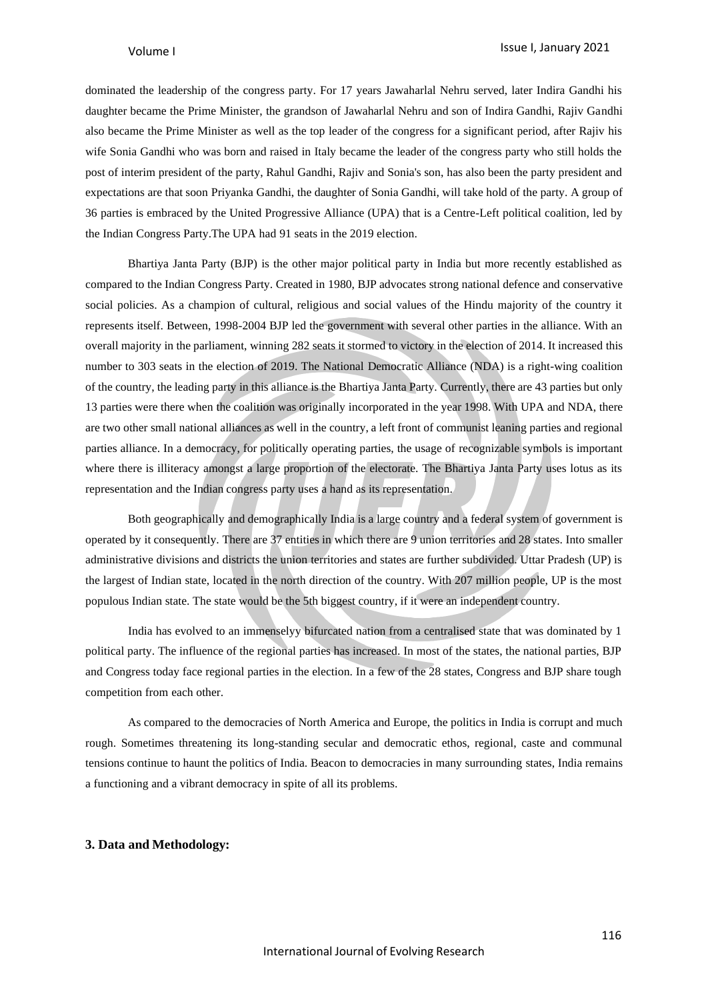dominated the leadership of the congress party. For 17 years Jawaharlal Nehru served, later Indira Gandhi his daughter became the Prime Minister, the grandson of Jawaharlal Nehru and son of Indira Gandhi, Rajiv Gandhi also became the Prime Minister as well as the top leader of the congress for a significant period, after Rajiv his wife Sonia Gandhi who was born and raised in Italy became the leader of the congress party who still holds the post of interim president of the party, Rahul Gandhi, Rajiv and Sonia's son, has also been the party president and expectations are that soon Priyanka Gandhi, the daughter of Sonia Gandhi, will take hold of the party. A group of 36 parties is embraced by the United Progressive Alliance (UPA) that is a Centre-Left political coalition, led by the Indian Congress Party.The UPA had 91 seats in the 2019 election.

Bhartiya Janta Party (BJP) is the other major political party in India but more recently established as compared to the Indian Congress Party. Created in 1980, BJP advocates strong national defence and conservative social policies. As a champion of cultural, religious and social values of the Hindu majority of the country it represents itself. Between, 1998-2004 BJP led the government with several other parties in the alliance. With an overall majority in the parliament, winning 282 seats it stormed to victory in the election of 2014. It increased this number to 303 seats in the election of 2019. The National Democratic Alliance (NDA) is a right-wing coalition of the country, the leading party in this alliance is the Bhartiya Janta Party. Currently, there are 43 parties but only 13 parties were there when the coalition was originally incorporated in the year 1998. With UPA and NDA, there are two other small national alliances as well in the country, a left front of communist leaning parties and regional parties alliance. In a democracy, for politically operating parties, the usage of recognizable symbols is important where there is illiteracy amongst a large proportion of the electorate. The Bhartiya Janta Party uses lotus as its representation and the Indian congress party uses a hand as its representation.

Both geographically and demographically India is a large country and a federal system of government is operated by it consequently. There are 37 entities in which there are 9 union territories and 28 states. Into smaller administrative divisions and districts the union territories and states are further subdivided. Uttar Pradesh (UP) is the largest of Indian state, located in the north direction of the country. With 207 million people, UP is the most populous Indian state. The state would be the 5th biggest country, if it were an independent country.

India has evolved to an immenselyy bifurcated nation from a centralised state that was dominated by 1 political party. The influence of the regional parties has increased. In most of the states, the national parties, BJP and Congress today face regional parties in the election. In a few of the 28 states, Congress and BJP share tough competition from each other.

As compared to the democracies of North America and Europe, the politics in India is corrupt and much rough. Sometimes threatening its long-standing secular and democratic ethos, regional, caste and communal tensions continue to haunt the politics of India. Beacon to democracies in many surrounding states, India remains a functioning and a vibrant democracy in spite of all its problems.

### **3. Data and Methodology:**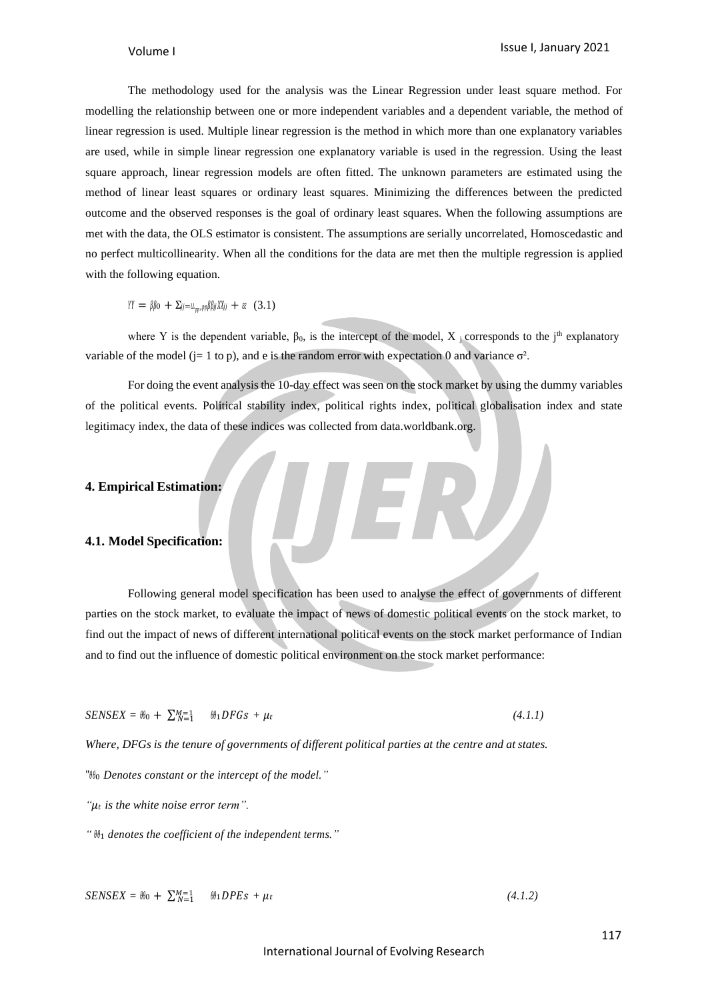The methodology used for the analysis was the Linear Regression under least square method. For modelling the relationship between one or more independent variables and a dependent variable, the method of linear regression is used. Multiple linear regression is the method in which more than one explanatory variables are used, while in simple linear regression one explanatory variable is used in the regression. Using the least square approach, linear regression models are often fitted. The unknown parameters are estimated using the method of linear least squares or ordinary least squares. Minimizing the differences between the predicted outcome and the observed responses is the goal of ordinary least squares. When the following assumptions are met with the data, the OLS estimator is consistent. The assumptions are serially uncorrelated, Homoscedastic and no perfect multicollinearity. When all the conditions for the data are met then the multiple regression is applied with the following equation.

 $YY = \beta \beta_0 + \sum_{j=LL_{nn},pp} \beta \beta_j j X_j j + \varepsilon \varepsilon$  (3.1)

where Y is the dependent variable,  $\beta_0$ , is the intercept of the model, X j corresponds to the j<sup>th</sup> explanatory variable of the model ( $j=1$  to p), and e is the random error with expectation 0 and variance  $\sigma^2$ .

For doing the event analysisthe 10-day effect was seen on the stock market by using the dummy variables of the political events. Political stability index, political rights index, political globalisation index and state legitimacy index, the data of these indices was collected from data.worldbank.org.

### **4. Empirical Estimation:**

### **4.1. Model Specification:**

Following general model specification has been used to analyse the effect of governments of different parties on the stock market, to evaluate the impact of news of domestic political events on the stock market, to find out the impact of news of different international political events on the stock market performance of Indian and to find out the influence of domestic political environment on the stock market performance:

 $SENSEX = \theta \theta_0 + \sum_{N=1}^{M=1} \theta_1 DFGS + \mu_t$  (4.1.1)

*Where, DFGs is the tenure of governments of different political parties at the centre and at states.*

" $\mathcal{H}_0$  Denotes constant or the intercept of the model."

*" is the white noise error term".*

*"* 1 *denotes the coefficient of the independent terms."*

$$
SENSEX = \theta b_0 + \sum_{N=1}^{M=1} \theta b_1 DPEs + \mu t \qquad (4.1.2)
$$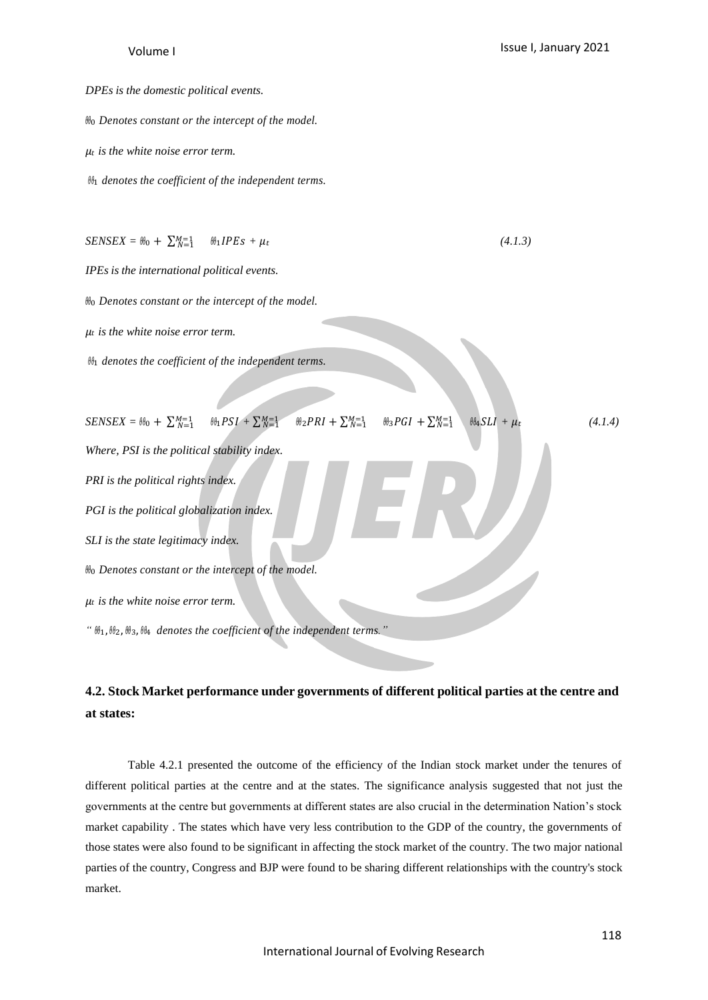#### *DPEs is the domestic political events.*

0 *Denotes constant or the intercept of the model.*

*is the white noise error term.*

1 *denotes the coefficient of the independent terms.*

$$
SENSEX = \theta t_0 + \sum_{N=1}^{M=1} \theta t_1 IPES + \mu t \tag{4.1.3}
$$

*IPEs is the international political events.*

0 *Denotes constant or the intercept of the model.*

*is the white noise error term.*

1 *denotes the coefficient of the independent terms.*

$$
SENSEX = \theta_{00} + \sum_{N=1}^{M=1} \theta_{01}PSI + \sum_{N=1}^{M=1} \theta_{02}PRI + \sum_{N=1}^{M=1} \theta_{03}PGI + \sum_{N=1}^{M=1} \theta_{04}SLI + \mu_{0}
$$
\n(4.1.4)  
\nWhere, PSI is the political stability index.  
\n
$$
PGI is the political globalization index.
$$
  
\nSLI is the state legitimateity index.  
\n
$$
\theta_{01} \theta_{02} \theta_{03} \theta_{13} + \theta_{03} \theta_{14} \theta_{04} \theta_{15} \theta_{16}
$$
\n
$$
\theta_{11} \theta_{03} \theta_{04} \theta_{15} \theta_{17} \theta_{18} \theta_{19} \theta_{10}
$$
\n(4.1.4)  
\n
$$
\theta_{01} \theta_{05} \theta_{16} \theta_{17} \theta_{18} \theta_{19} \theta_{10}
$$
\n(4.1.5)  
\n
$$
\theta_{01} \theta_{03} \theta_{14} \theta_{15} \theta_{17} \theta_{18} \theta_{19}
$$
\n(4.1.6)  
\n
$$
\theta_{01} \theta_{03} \theta_{15} \theta_{16} \theta_{17} \theta_{18} \theta_{19}
$$
\n(4.1.7)  
\n
$$
\theta_{03} PGI + \sum_{N=1}^{M=1} \theta_{03} PGI + \sum_{N=1}^{M=1} \theta_{04} SUI + \mu_{05}
$$
\n(4.1.8)

# **4.2. Stock Market performance under governments of different political parties at the centre and at states:**

Table 4.2.1 presented the outcome of the efficiency of the Indian stock market under the tenures of different political parties at the centre and at the states. The significance analysis suggested that not just the governments at the centre but governments at different states are also crucial in the determination Nation's stock market capability . The states which have very less contribution to the GDP of the country, the governments of those states were also found to be significant in affecting the stock market of the country. The two major national parties of the country, Congress and BJP were found to be sharing different relationships with the country's stock market.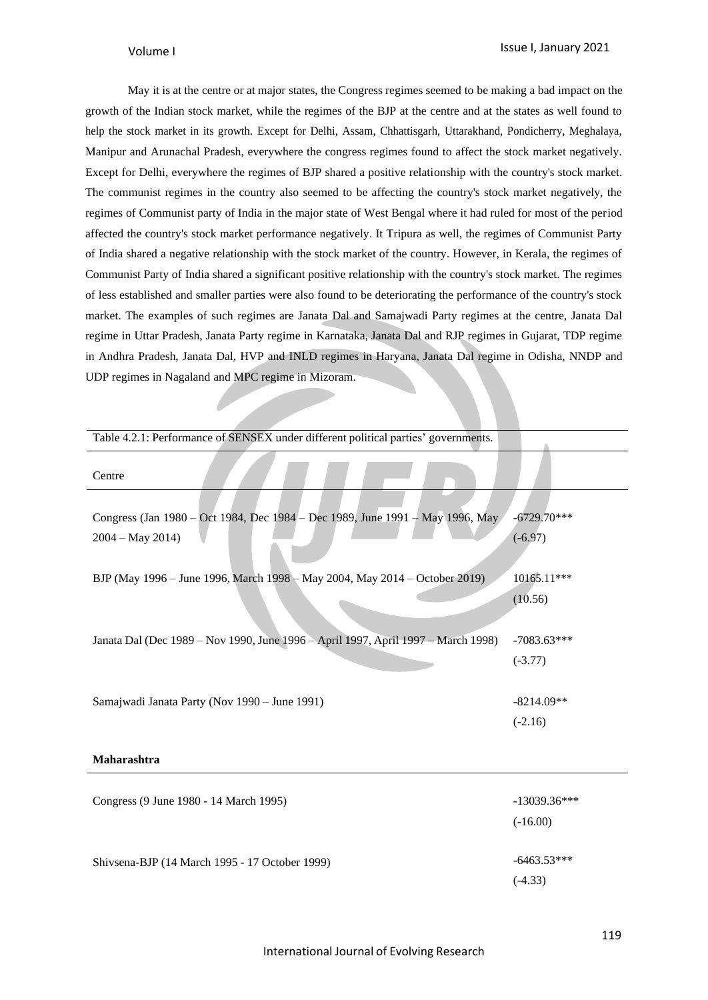May it is at the centre or at major states, the Congress regimes seemed to be making a bad impact on the growth of the Indian stock market, while the regimes of the BJP at the centre and at the states as well found to help the stock market in its growth. Except for Delhi, Assam, Chhattisgarh, Uttarakhand, Pondicherry, Meghalaya, Manipur and Arunachal Pradesh, everywhere the congress regimes found to affect the stock market negatively. Except for Delhi, everywhere the regimes of BJP shared a positive relationship with the country's stock market. The communist regimes in the country also seemed to be affecting the country's stock market negatively, the regimes of Communist party of India in the major state of West Bengal where it had ruled for most of the period affected the country's stock market performance negatively. It Tripura as well, the regimes of Communist Party of India shared a negative relationship with the stock market of the country. However, in Kerala, the regimes of Communist Party of India shared a significant positive relationship with the country's stock market. The regimes of less established and smaller parties were also found to be deteriorating the performance of the country's stock market. The examples of such regimes are Janata Dal and Samajwadi Party regimes at the centre, Janata Dal regime in Uttar Pradesh, Janata Party regime in Karnataka, Janata Dal and RJP regimes in Gujarat, TDP regime in Andhra Pradesh, Janata Dal, HVP and INLD regimes in Haryana, Janata Dal regime in Odisha, NNDP and UDP regimes in Nagaland and MPC regime in Mizoram.

| Table 4.2.1: Performance of SENSEX under different political parties' governments.                 |                              |
|----------------------------------------------------------------------------------------------------|------------------------------|
| Centre                                                                                             |                              |
| Congress (Jan 1980 - Oct 1984, Dec 1984 - Dec 1989, June 1991 - May 1996, May<br>$2004 - May 2014$ | $-6729.70***$<br>$(-6.97)$   |
| BJP (May 1996 - June 1996, March 1998 - May 2004, May 2014 - October 2019)                         | 10165.11***<br>(10.56)       |
| Janata Dal (Dec 1989 – Nov 1990, June 1996 – April 1997, April 1997 – March 1998)                  | $-7083.63***$<br>$(-3.77)$   |
| Samajwadi Janata Party (Nov 1990 - June 1991)                                                      | $-8214.09**$<br>$(-2.16)$    |
| Maharashtra                                                                                        |                              |
| Congress (9 June 1980 - 14 March 1995)                                                             | $-13039.36***$<br>$(-16.00)$ |
| Shivsena-BJP (14 March 1995 - 17 October 1999)                                                     | $-6463.53***$<br>$(-4.33)$   |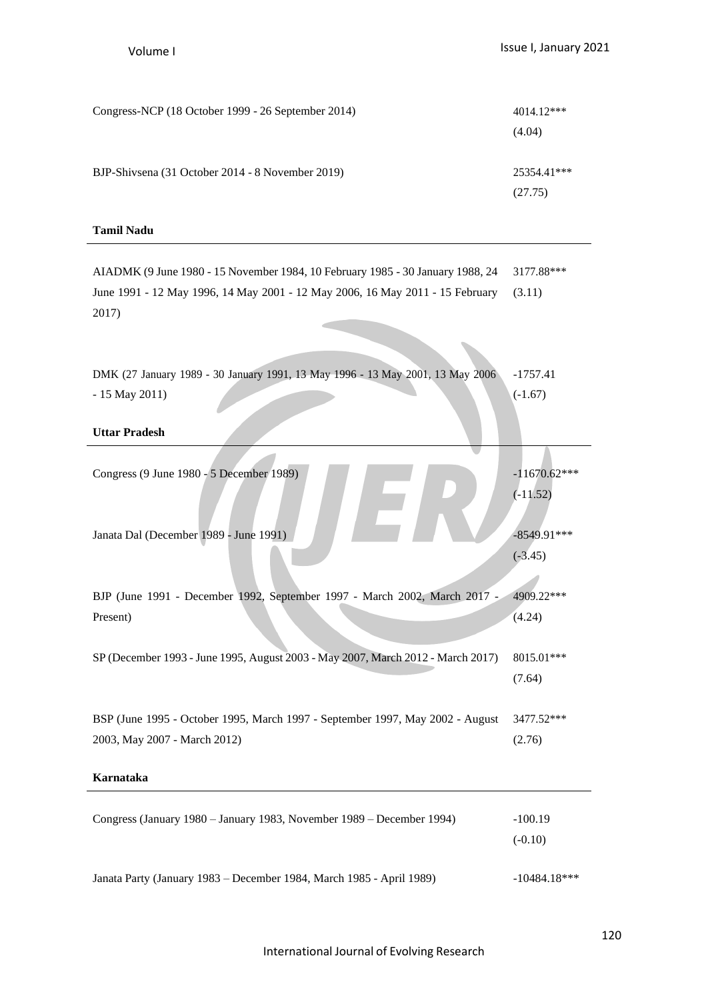| Congress-NCP (18 October 1999 - 26 September 2014) | $4014.12***$           |
|----------------------------------------------------|------------------------|
|                                                    | (4.04)                 |
| BJP-Shivsena (31 October 2014 - 8 November 2019)   | 25354.41***<br>(27.75) |

# **Tamil Nadu**

| AIADMK (9 June 1980 - 15 November 1984, 10 February 1985 - 30 January 1988, 24<br>June 1991 - 12 May 1996, 14 May 2001 - 12 May 2006, 16 May 2011 - 15 February | 3177.88***<br>(3.11)    |
|-----------------------------------------------------------------------------------------------------------------------------------------------------------------|-------------------------|
| 2017)                                                                                                                                                           |                         |
|                                                                                                                                                                 |                         |
|                                                                                                                                                                 |                         |
| DMK (27 January 1989 - 30 January 1991, 13 May 1996 - 13 May 2001, 13 May 2006<br>$-15$ May 2011)                                                               | $-1757.41$<br>$(-1.67)$ |
|                                                                                                                                                                 |                         |
| <b>Uttar Pradesh</b>                                                                                                                                            |                         |
| Congress (9 June 1980 - 5 December 1989)                                                                                                                        | $-11670.62***$          |
|                                                                                                                                                                 | $(-11.52)$              |
|                                                                                                                                                                 |                         |
| Janata Dal (December 1989 - June 1991)                                                                                                                          | $-8549.91***$           |
|                                                                                                                                                                 | $(-3.45)$               |
| BJP (June 1991 - December 1992, September 1997 - March 2002, March 2017 -                                                                                       | 4909.22***              |
| Present)                                                                                                                                                        | (4.24)                  |
|                                                                                                                                                                 |                         |
| SP (December 1993 - June 1995, August 2003 - May 2007, March 2012 - March 2017)                                                                                 | $8015.01***$            |
|                                                                                                                                                                 | (7.64)                  |
| BSP (June 1995 - October 1995, March 1997 - September 1997, May 2002 - August                                                                                   | 3477.52***              |
| 2003, May 2007 - March 2012)                                                                                                                                    | (2.76)                  |
|                                                                                                                                                                 |                         |
| Karnataka                                                                                                                                                       |                         |
| Congress (January 1980 - January 1983, November 1989 - December 1994)                                                                                           | $-100.19$               |
|                                                                                                                                                                 | $(-0.10)$               |
|                                                                                                                                                                 |                         |

Janata Party (January 1983 – December 1984, March 1985 - April 1989) -10484.18\*\*\*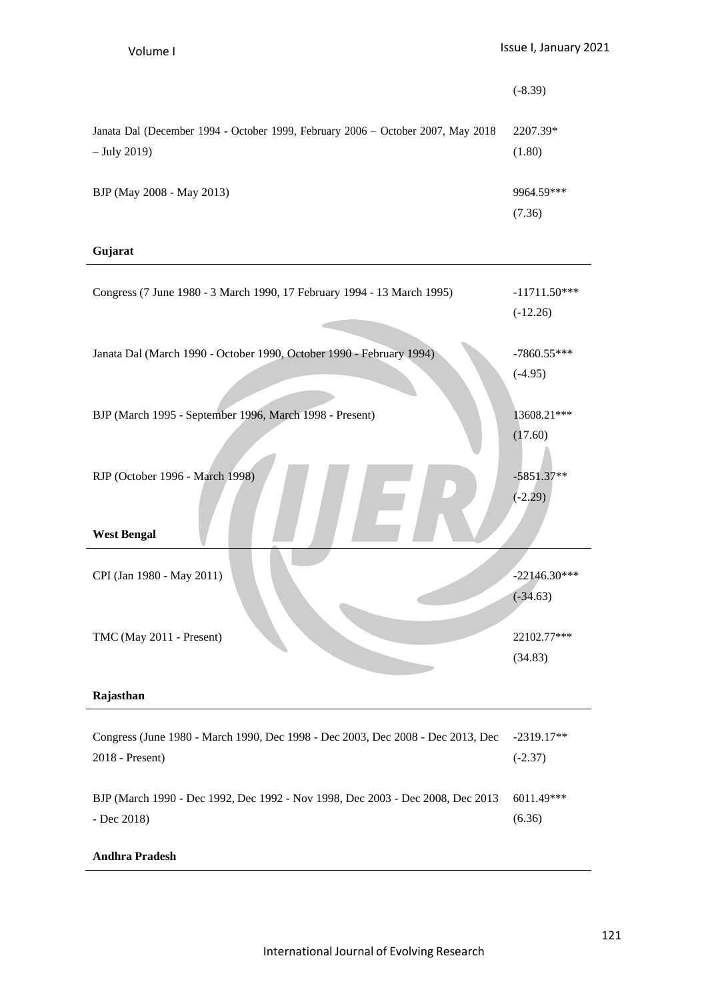|                                                                                                    | $(-8.39)$            |
|----------------------------------------------------------------------------------------------------|----------------------|
| Janata Dal (December 1994 - October 1999, February 2006 – October 2007, May 2018<br>$-$ July 2019) | 2207.39*<br>(1.80)   |
| BJP (May 2008 - May 2013)                                                                          | 9964.59***<br>(7.36) |

# **Gujarat**

| Congress (7 June 1980 - 3 March 1990, 17 February 1994 - 13 March 1995)                            | $-11711.50***$<br>$(-12.26)$ |
|----------------------------------------------------------------------------------------------------|------------------------------|
| Janata Dal (March 1990 - October 1990, October 1990 - February 1994)                               | $-7860.55***$<br>$(-4.95)$   |
| BJP (March 1995 - September 1996, March 1998 - Present)                                            | 13608.21***<br>(17.60)       |
| RJP (October 1996 - March 1998)<br><b>West Bengal</b>                                              | $-5851.37**$<br>$(-2.29)$    |
| CPI (Jan 1980 - May 2011)                                                                          | $-22146.30***$<br>$(-34.63)$ |
| TMC (May 2011 - Present)                                                                           | 22102.77***<br>(34.83)       |
| Rajasthan                                                                                          |                              |
| Congress (June 1980 - March 1990, Dec 1998 - Dec 2003, Dec 2008 - Dec 2013, Dec<br>2018 - Present) | $-2319.17**$<br>$(-2.37)$    |
| BJP (March 1990 - Dec 1992, Dec 1992 - Nov 1998, Dec 2003 - Dec 2008, Dec 2013<br>- Dec 2018)      | 6011.49***<br>(6.36)         |

# **Andhra Pradesh**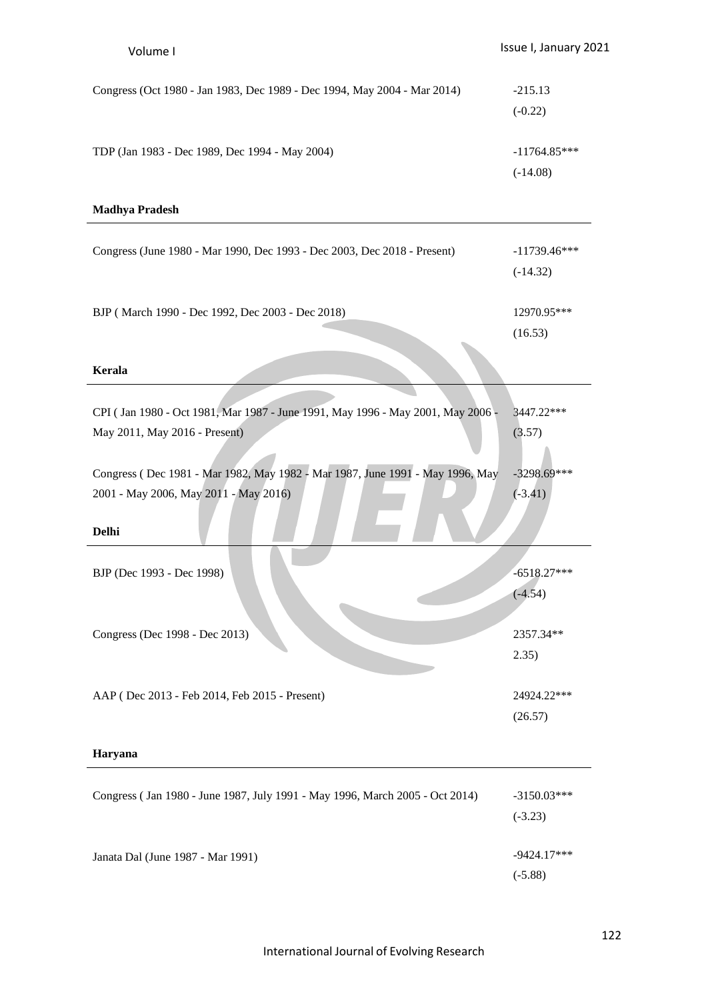| Congress (Oct 1980 - Jan 1983, Dec 1989 - Dec 1994, May 2004 - Mar 2014) | $-215.13$      |
|--------------------------------------------------------------------------|----------------|
|                                                                          | $(-0.22)$      |
| TDP (Jan 1983 - Dec 1989, Dec 1994 - May 2004)                           | $-11764.85***$ |
|                                                                          | (-14.08)       |

# **Madhya Pradesh**

| Congress (June 1980 - Mar 1990, Dec 1993 - Dec 2003, Dec 2018 - Present)                                               | $-11739.46***$<br>$(-14.32)$ |
|------------------------------------------------------------------------------------------------------------------------|------------------------------|
| BJP (March 1990 - Dec 1992, Dec 2003 - Dec 2018)                                                                       | 12970.95***<br>(16.53)       |
| <b>Kerala</b>                                                                                                          |                              |
| CPI (Jan 1980 - Oct 1981, Mar 1987 - June 1991, May 1996 - May 2001, May 2006 -<br>May 2011, May 2016 - Present)       | 3447.22***<br>(3.57)         |
| Congress (Dec 1981 - Mar 1982, May 1982 - Mar 1987, June 1991 - May 1996, May<br>2001 - May 2006, May 2011 - May 2016) | $-3298.69***$<br>$(-3.41)$   |
| <b>Delhi</b>                                                                                                           |                              |
| BJP (Dec 1993 - Dec 1998)                                                                                              | $-6518.27***$<br>$(-4.54)$   |
| Congress (Dec 1998 - Dec 2013)                                                                                         | 2357.34**<br>2.35)           |
| AAP (Dec 2013 - Feb 2014, Feb 2015 - Present)                                                                          | 24924.22***<br>(26.57)       |
| Haryana                                                                                                                |                              |
| Congress (Jan 1980 - June 1987, July 1991 - May 1996, March 2005 - Oct 2014)                                           | $-3150.03***$<br>$(-3.23)$   |

Janata Dal (June 1987 - Mar 1991) -9424.17\*\*\*

(-5.88)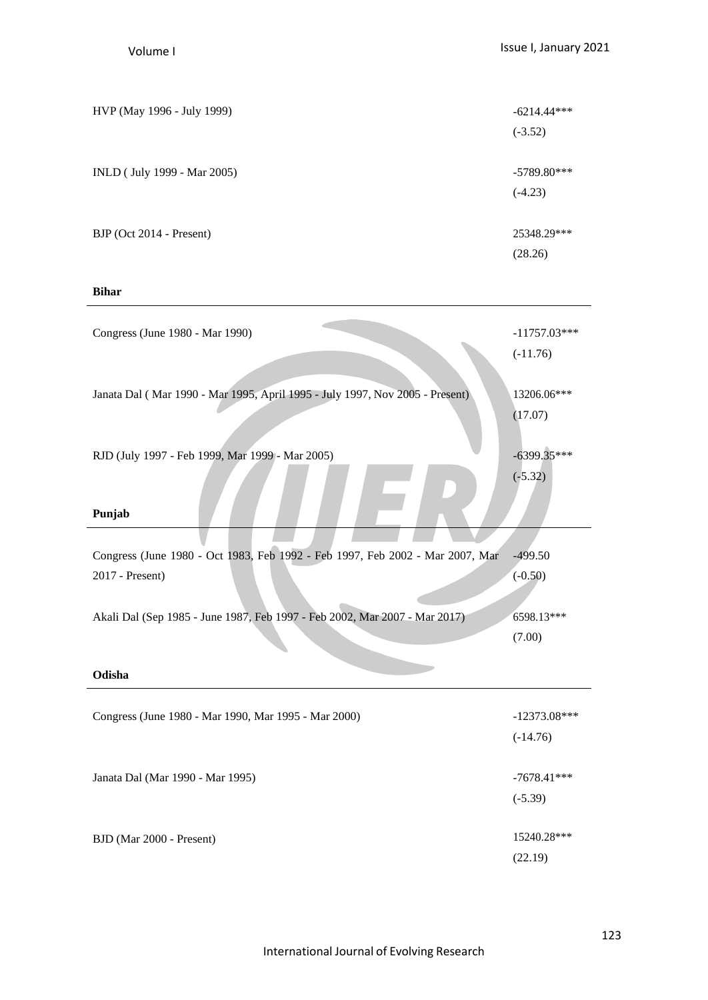| HVP (May 1996 - July 1999)  | $-6214.44***$ |
|-----------------------------|---------------|
|                             | $(-3.52)$     |
|                             |               |
| INLD (July 1999 - Mar 2005) | $-5789.80***$ |
|                             | $(-4.23)$     |
|                             |               |
| BJP (Oct 2014 - Present)    | 25348.29***   |
|                             | (28.26)       |
|                             |               |

# **Bihar**

| Congress (June 1980 - Mar 1990)                                                                  | $-11757.03***$<br>$(-11.76)$ |
|--------------------------------------------------------------------------------------------------|------------------------------|
| Janata Dal (Mar 1990 - Mar 1995, April 1995 - July 1997, Nov 2005 - Present)                     | 13206.06***<br>(17.07)       |
| RJD (July 1997 - Feb 1999, Mar 1999 - Mar 2005)<br>Punjab                                        | $-6399.35***$<br>$(-5.32)$   |
|                                                                                                  |                              |
| Congress (June 1980 - Oct 1983, Feb 1992 - Feb 1997, Feb 2002 - Mar 2007, Mar<br>2017 - Present) | $-499.50$<br>$(-0.50)$       |
|                                                                                                  |                              |
| Akali Dal (Sep 1985 - June 1987, Feb 1997 - Feb 2002, Mar 2007 - Mar 2017)                       | 6598.13***                   |
|                                                                                                  | (7.00)                       |
| Odisha                                                                                           |                              |
| Congress (June 1980 - Mar 1990, Mar 1995 - Mar 2000)                                             | $-12373.08***$               |
|                                                                                                  |                              |
|                                                                                                  | $(-14.76)$                   |
|                                                                                                  |                              |
| Janata Dal (Mar 1990 - Mar 1995)                                                                 | $-7678.41***$                |
|                                                                                                  | $(-5.39)$                    |
| BJD (Mar 2000 - Present)                                                                         | 15240.28***                  |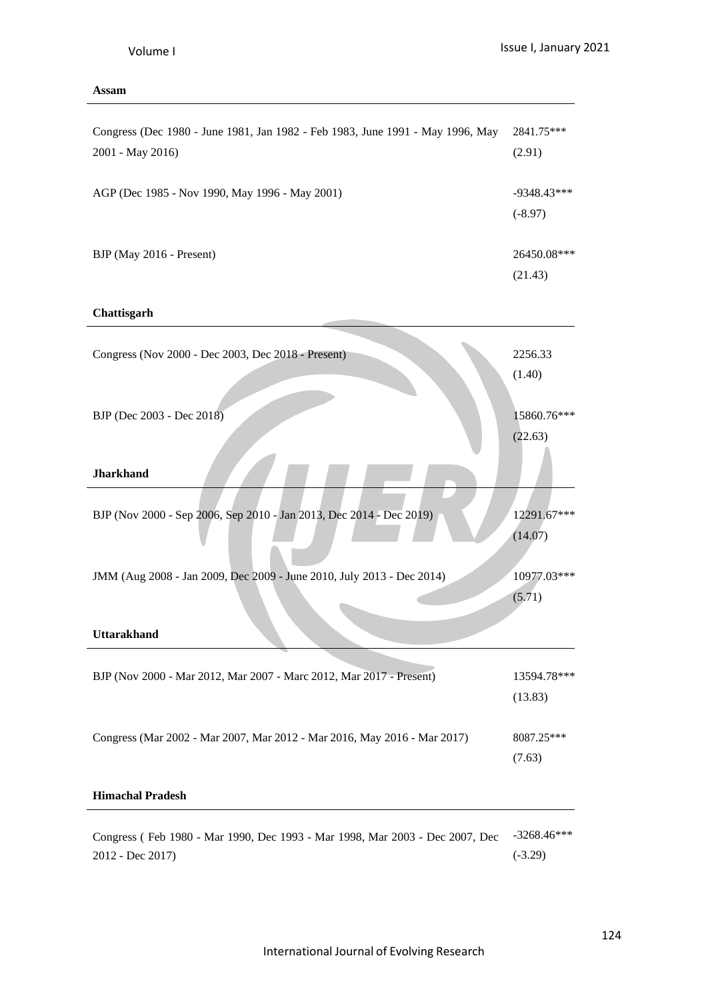# **Assam**

| Congress (Dec 1980 - June 1981, Jan 1982 - Feb 1983, June 1991 - May 1996, May<br>2001 - May 2016) | 2841.75***<br>(2.91)       |
|----------------------------------------------------------------------------------------------------|----------------------------|
| AGP (Dec 1985 - Nov 1990, May 1996 - May 2001)                                                     | $-9348.43***$<br>$(-8.97)$ |
| BJP (May 2016 - Present)                                                                           | 26450.08***<br>(21.43)     |
| Chattisgarh                                                                                        |                            |
| Congress (Nov 2000 - Dec 2003, Dec 2018 - Present)                                                 | 2256.33<br>(1.40)          |
| BJP (Dec 2003 - Dec 2018)                                                                          | 15860.76***<br>(22.63)     |
| <b>Jharkhand</b>                                                                                   |                            |
| BJP (Nov 2000 - Sep 2006, Sep 2010 - Jan 2013, Dec 2014 - Dec 2019)                                | 12291.67***<br>(14.07)     |
| JMM (Aug 2008 - Jan 2009, Dec 2009 - June 2010, July 2013 - Dec 2014)                              | 10977.03***<br>(5.71)      |
| <b>Uttarakhand</b>                                                                                 |                            |
| BJP (Nov 2000 - Mar 2012, Mar 2007 - Marc 2012, Mar 2017 - Present)                                | 13594.78***<br>(13.83)     |
| Congress (Mar 2002 - Mar 2007, Mar 2012 - Mar 2016, May 2016 - Mar 2017)                           | 8087.25***<br>(7.63)       |
| <b>Himachal Pradesh</b>                                                                            |                            |
| Congress (Feb 1980 - Mar 1990, Dec 1993 - Mar 1998, Mar 2003 - Dec 2007, Dec<br>2012 - Dec 2017)   | $-3268.46***$<br>$(-3.29)$ |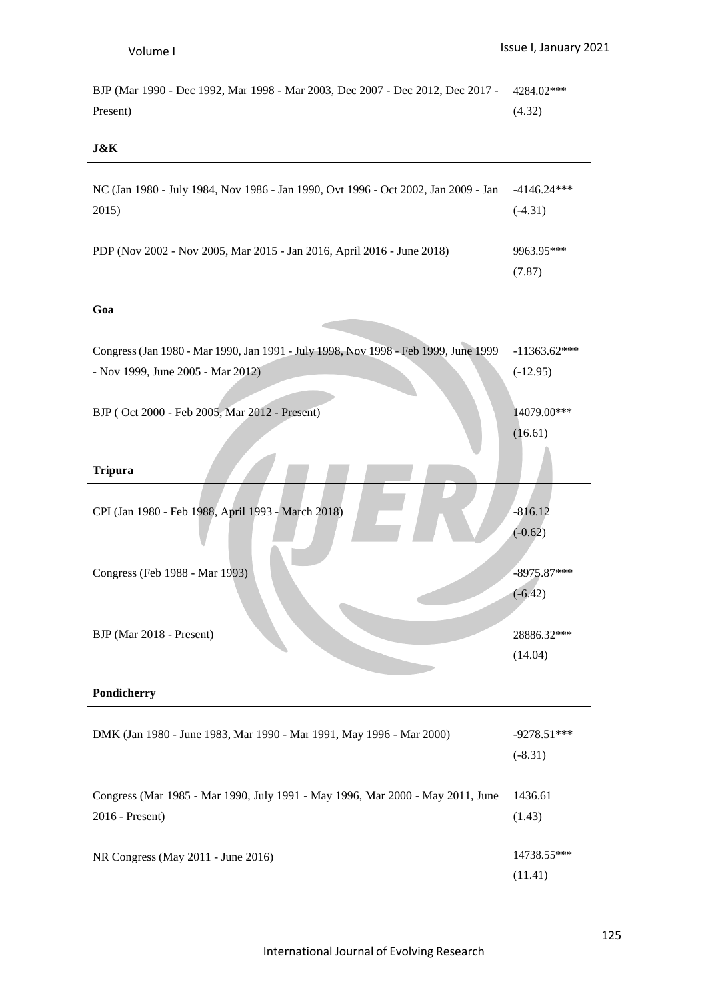BJP (Mar 1990 - Dec 1992, Mar 1998 - Mar 2003, Dec 2007 - Dec 2012, Dec 2017 - 4284.02\*\*\* Present) (4.32)

# **J&K**

| NC (Jan 1980 - July 1984, Nov 1986 - Jan 1990, Ovt 1996 - Oct 2002, Jan 2009 - Jan | $-4146.24***$        |
|------------------------------------------------------------------------------------|----------------------|
| 2015)                                                                              | $(-4.31)$            |
| PDP (Nov 2002 - Nov 2005, Mar 2015 - Jan 2016, April 2016 - June 2018)             | 9963.95***<br>(7.87) |

# **Goa**

| Congress (Jan 1980 - Mar 1990, Jan 1991 - July 1998, Nov 1998 - Feb 1999, June 1999 | $-11363.62***$ |
|-------------------------------------------------------------------------------------|----------------|
| - Nov 1999, June 2005 - Mar 2012)                                                   | $(-12.95)$     |
|                                                                                     |                |
| BJP (Oct 2000 - Feb 2005, Mar 2012 - Present)                                       | 14079.00***    |
|                                                                                     | (16.61)        |
|                                                                                     |                |
| <b>Tripura</b>                                                                      |                |
| CPI (Jan 1980 - Feb 1988, April 1993 - March 2018)                                  | $-816.12$      |
|                                                                                     | $(-0.62)$      |
|                                                                                     |                |
| Congress (Feb 1988 - Mar 1993)                                                      | $-8975.87***$  |
|                                                                                     | $(-6.42)$      |
|                                                                                     |                |
| BJP (Mar 2018 - Present)                                                            | 28886.32***    |
|                                                                                     | (14.04)        |
|                                                                                     |                |
| Pondicherry                                                                         |                |
|                                                                                     |                |
| DMK (Jan 1980 - June 1983, Mar 1990 - Mar 1991, May 1996 - Mar 2000)                | $-9278.51***$  |
|                                                                                     | $(-8.31)$      |
|                                                                                     | 1436.61        |
| Congress (Mar 1985 - Mar 1990, July 1991 - May 1996, Mar 2000 - May 2011, June      |                |
| 2016 - Present)                                                                     | (1.43)         |
| NR Congress (May 2011 - June 2016)                                                  | 14738.55***    |
|                                                                                     | (11.41)        |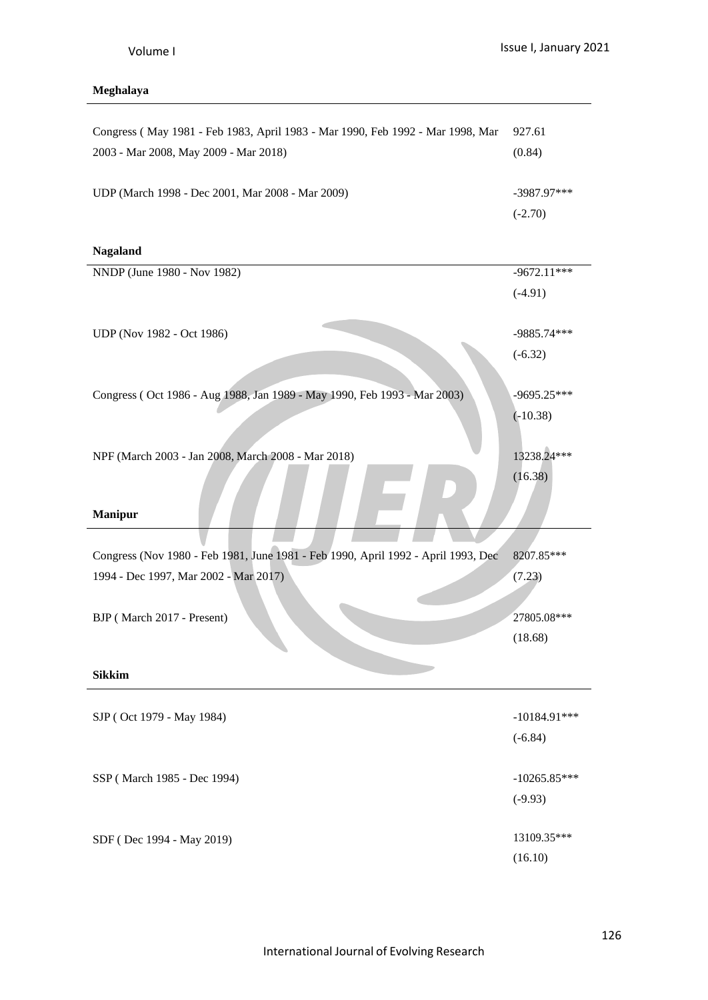# **Meghalaya**

| Congress (May 1981 - Feb 1983, April 1983 - Mar 1990, Feb 1992 - Mar 1998, Mar    | 927.61         |
|-----------------------------------------------------------------------------------|----------------|
| 2003 - Mar 2008, May 2009 - Mar 2018)                                             | (0.84)         |
|                                                                                   |                |
| UDP (March 1998 - Dec 2001, Mar 2008 - Mar 2009)                                  | $-3987.97***$  |
|                                                                                   | $(-2.70)$      |
| <b>Nagaland</b>                                                                   |                |
| NNDP (June 1980 - Nov 1982)                                                       | $-9672.11***$  |
|                                                                                   | $(-4.91)$      |
|                                                                                   |                |
| UDP (Nov 1982 - Oct 1986)                                                         | -9885.74***    |
|                                                                                   | $(-6.32)$      |
|                                                                                   |                |
| Congress (Oct 1986 - Aug 1988, Jan 1989 - May 1990, Feb 1993 - Mar 2003)          | $-9695.25***$  |
|                                                                                   | $(-10.38)$     |
|                                                                                   |                |
| NPF (March 2003 - Jan 2008, March 2008 - Mar 2018)                                | 13238.24***    |
|                                                                                   | (16.38)        |
|                                                                                   |                |
| <b>Manipur</b>                                                                    |                |
| Congress (Nov 1980 - Feb 1981, June 1981 - Feb 1990, April 1992 - April 1993, Dec | 8207.85***     |
| 1994 - Dec 1997, Mar 2002 - Mar 2017)                                             | (7.23)         |
|                                                                                   |                |
| BJP (March 2017 - Present)                                                        | 27805.08***    |
|                                                                                   | (18.68)        |
|                                                                                   |                |
| <b>Sikkim</b>                                                                     |                |
|                                                                                   |                |
| SJP (Oct 1979 - May 1984)                                                         | $-10184.91***$ |
|                                                                                   | $(-6.84)$      |
|                                                                                   |                |
|                                                                                   |                |
| SSP (March 1985 - Dec 1994)                                                       | $-10265.85***$ |
|                                                                                   | $(-9.93)$      |
| SDF (Dec 1994 - May 2019)                                                         | 13109.35***    |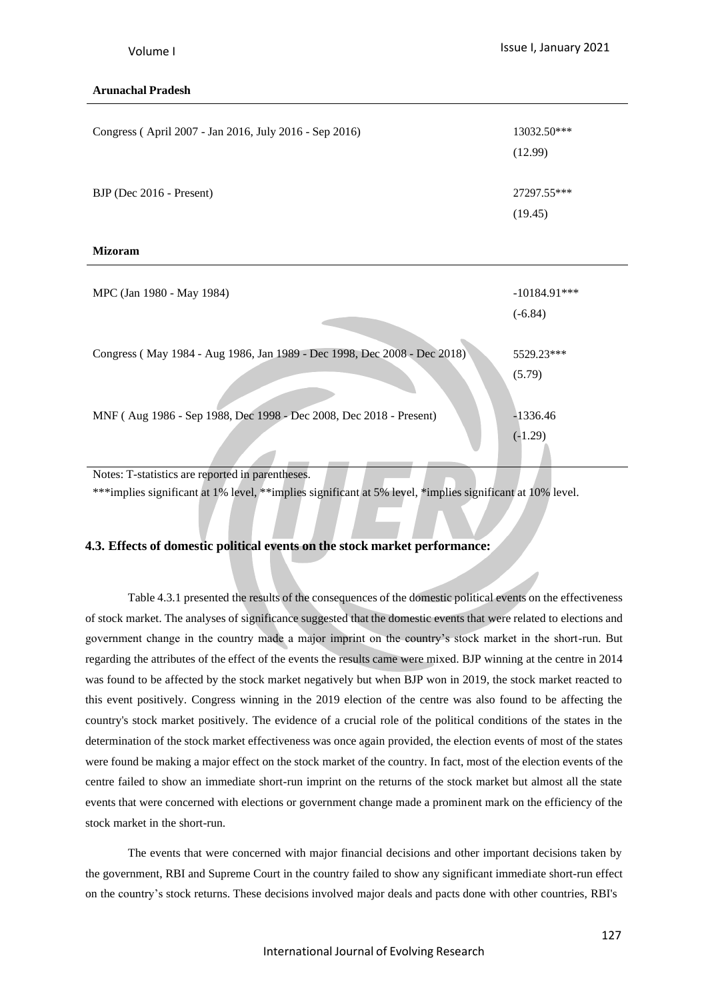# **Arunachal Pradesh**

| Congress (April 2007 - Jan 2016, July 2016 - Sep 2016)                   | 13032.50***<br>(12.99)      |
|--------------------------------------------------------------------------|-----------------------------|
| BJP (Dec 2016 - Present)                                                 | 27297.55***<br>(19.45)      |
| <b>Mizoram</b>                                                           |                             |
| MPC (Jan 1980 - May 1984)                                                | $-10184.91***$<br>$(-6.84)$ |
| Congress (May 1984 - Aug 1986, Jan 1989 - Dec 1998, Dec 2008 - Dec 2018) | 5529.23***<br>(5.79)        |
| MNF (Aug 1986 - Sep 1988, Dec 1998 - Dec 2008, Dec 2018 - Present)       | $-1336.46$<br>$(-1.29)$     |

Notes: T-statistics are reported in parentheses.

\*\*\*implies significant at 1% level, \*\*implies significant at 5% level, \*implies significant at 10% level.

# **4.3. Effects of domestic political events on the stock market performance:**

Table 4.3.1 presented the results of the consequences of the domestic political events on the effectiveness of stock market. The analyses of significance suggested that the domestic events that were related to elections and government change in the country made a major imprint on the country's stock market in the short-run. But regarding the attributes of the effect of the events the results came were mixed. BJP winning at the centre in 2014 was found to be affected by the stock market negatively but when BJP won in 2019, the stock market reacted to this event positively. Congress winning in the 2019 election of the centre was also found to be affecting the country's stock market positively. The evidence of a crucial role of the political conditions of the states in the determination of the stock market effectiveness was once again provided, the election events of most of the states were found be making a major effect on the stock market of the country. In fact, most of the election events of the centre failed to show an immediate short-run imprint on the returns of the stock market but almost all the state events that were concerned with elections or government change made a prominent mark on the efficiency of the stock market in the short-run.

The events that were concerned with major financial decisions and other important decisions taken by the government, RBI and Supreme Court in the country failed to show any significant immediate short-run effect on the country's stock returns. These decisions involved major deals and pacts done with other countries, RBI's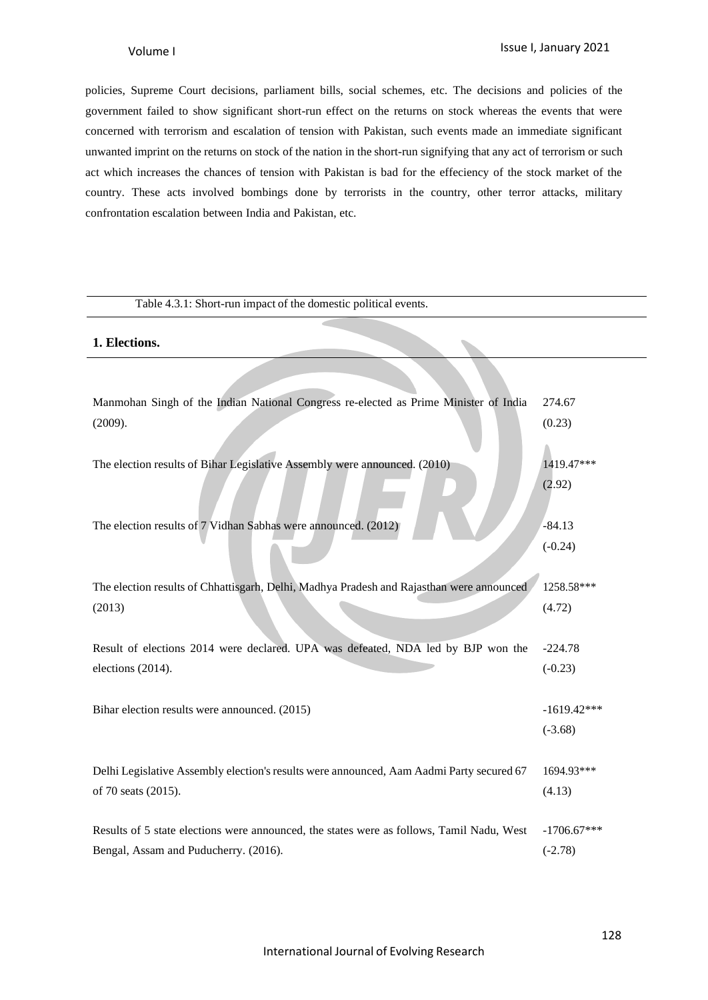policies, Supreme Court decisions, parliament bills, social schemes, etc. The decisions and policies of the government failed to show significant short-run effect on the returns on stock whereas the events that were concerned with terrorism and escalation of tension with Pakistan, such events made an immediate significant unwanted imprint on the returns on stock of the nation in the short-run signifying that any act of terrorism or such act which increases the chances of tension with Pakistan is bad for the effeciency of the stock market of the country. These acts involved bombings done by terrorists in the country, other terror attacks, military confrontation escalation between India and Pakistan, etc.

### Table 4.3.1: Short-run impact of the domestic political events.

### **1. Elections.**

| Manmohan Singh of the Indian National Congress re-elected as Prime Minister of India      | 274.67        |
|-------------------------------------------------------------------------------------------|---------------|
| (2009).                                                                                   | (0.23)        |
|                                                                                           |               |
| The election results of Bihar Legislative Assembly were announced. (2010)                 | 1419.47***    |
|                                                                                           | (2.92)        |
|                                                                                           |               |
| The election results of 7 Vidhan Sabhas were announced. (2012)                            | $-84.13$      |
|                                                                                           | $(-0.24)$     |
|                                                                                           |               |
| The election results of Chhattisgarh, Delhi, Madhya Pradesh and Rajasthan were announced  | 1258.58***    |
| (2013)                                                                                    | (4.72)        |
|                                                                                           |               |
| Result of elections 2014 were declared. UPA was defeated, NDA led by BJP won the          | $-224.78$     |
| elections (2014).                                                                         | $(-0.23)$     |
|                                                                                           |               |
| Bihar election results were announced. (2015)                                             | $-1619.42***$ |
|                                                                                           | $(-3.68)$     |
|                                                                                           |               |
| Delhi Legislative Assembly election's results were announced, Aam Aadmi Party secured 67  | 1694.93***    |
| of 70 seats (2015).                                                                       | (4.13)        |
| Results of 5 state elections were announced, the states were as follows, Tamil Nadu, West | $-1706.67***$ |
| Bengal, Assam and Puducherry. (2016).                                                     | $(-2.78)$     |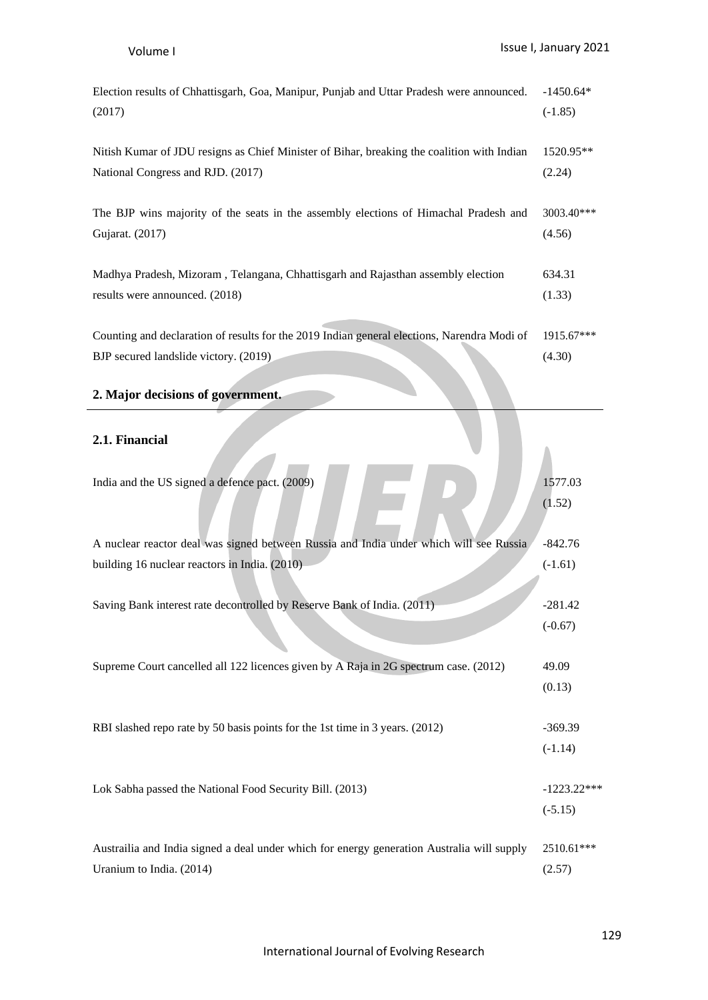| Election results of Chhattisgarh, Goa, Manipur, Punjab and Uttar Pradesh were announced.<br>(2017)                                   | $-1450.64*$<br>$(-1.85)$   |
|--------------------------------------------------------------------------------------------------------------------------------------|----------------------------|
| Nitish Kumar of JDU resigns as Chief Minister of Bihar, breaking the coalition with Indian<br>National Congress and RJD. (2017)      | 1520.95**<br>(2.24)        |
| The BJP wins majority of the seats in the assembly elections of Himachal Pradesh and<br>Gujarat. (2017)                              | 3003.40***<br>(4.56)       |
| Madhya Pradesh, Mizoram, Telangana, Chhattisgarh and Rajasthan assembly election<br>results were announced. (2018)                   | 634.31<br>(1.33)           |
| Counting and declaration of results for the 2019 Indian general elections, Narendra Modi of<br>BJP secured landslide victory. (2019) | 1915.67***<br>(4.30)       |
| 2. Major decisions of government.                                                                                                    |                            |
| 2.1. Financial                                                                                                                       |                            |
| India and the US signed a defence pact. (2009)                                                                                       | 1577.03<br>(1.52)          |
| A nuclear reactor deal was signed between Russia and India under which will see Russia                                               | $-842.76$                  |
| building 16 nuclear reactors in India. (2010)                                                                                        | $(-1.61)$                  |
| Saving Bank interest rate decontrolled by Reserve Bank of India. (2011)                                                              | $-281.42$<br>$(-0.67)$     |
| Supreme Court cancelled all 122 licences given by A Raja in 2G spectrum case. (2012)                                                 | 49.09<br>(0.13)            |
| RBI slashed repo rate by 50 basis points for the 1st time in 3 years. (2012)                                                         | $-369.39$<br>$(-1.14)$     |
| Lok Sabha passed the National Food Security Bill. (2013)                                                                             | $-1223.22***$<br>$(-5.15)$ |
| Austrailia and India signed a deal under which for energy generation Australia will supply<br>Uranium to India. (2014)               | 2510.61***<br>(2.57)       |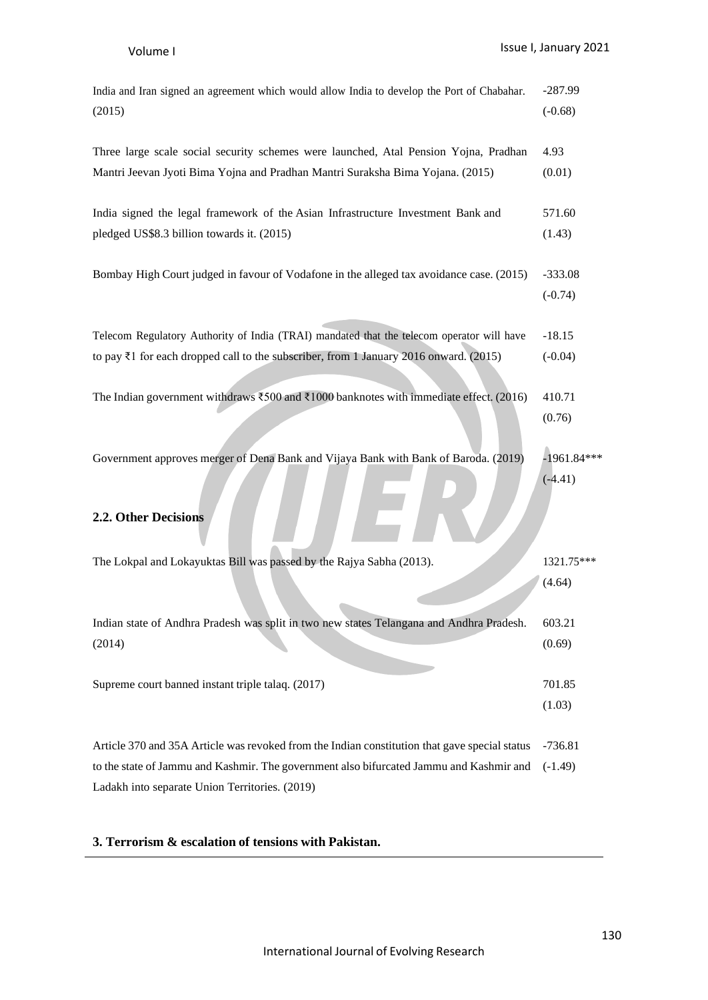| India and Iran signed an agreement which would allow India to develop the Port of Chabahar.                                      | $-287.99$              |
|----------------------------------------------------------------------------------------------------------------------------------|------------------------|
| (2015)                                                                                                                           | $(-0.68)$              |
| Three large scale social security schemes were launched, Atal Pension Yojna, Pradhan                                             | 4.93                   |
| Mantri Jeevan Jyoti Bima Yojna and Pradhan Mantri Suraksha Bima Yojana. (2015)                                                   | (0.01)                 |
| India signed the legal framework of the Asian Infrastructure Investment Bank and                                                 | 571.60                 |
| pledged US\$8.3 billion towards it. (2015)                                                                                       | (1.43)                 |
| Bombay High Court judged in favour of Vodafone in the alleged tax avoidance case. (2015)                                         | $-333.08$<br>$(-0.74)$ |
| Telecom Regulatory Authority of India (TRAI) mandated that the telecom operator will have                                        | $-18.15$               |
| to pay ₹1 for each dropped call to the subscriber, from 1 January 2016 onward. (2015)                                            | $(-0.04)$              |
| The Indian government withdraws $\text{\textsterling}500$ and $\text{\textsterling}1000$ banknotes with immediate effect, (2016) | 410.71<br>(0.76)       |
| Government approves merger of Dena Bank and Vijaya Bank with Bank of Baroda. (2019)                                              | $-1961.84***$          |
| 2.2. Other Decisions                                                                                                             | $(-4.41)$              |
| The Lokpal and Lokayuktas Bill was passed by the Rajya Sabha (2013).                                                             | 1321.75***<br>(4.64)   |
| Indian state of Andhra Pradesh was split in two new states Telangana and Andhra Pradesh.                                         | 603.21                 |
| (2014)                                                                                                                           | (0.69)                 |
| Supreme court banned instant triple talaq. (2017)                                                                                | 701.85<br>(1.03)       |
| Article 370 and 35A Article was revoked from the Indian constitution that gave special status                                    | $-736.81$              |
| to the state of Jammu and Kashmir. The government also bifurcated Jammu and Kashmir and                                          | $(-1.49)$              |

Ladakh into separate Union Territories. (2019)

# **3. Terrorism & escalation of tensions with Pakistan.**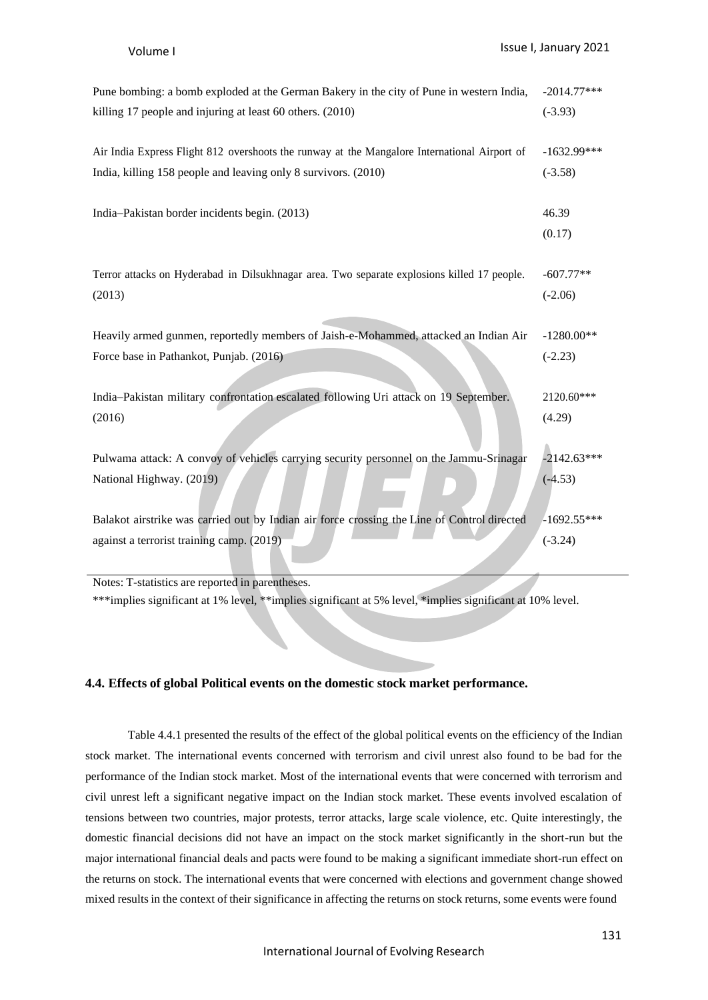| Pune bombing: a bomb exploded at the German Bakery in the city of Pune in western India,              | $-2014.77***$            |
|-------------------------------------------------------------------------------------------------------|--------------------------|
| killing 17 people and injuring at least 60 others. (2010)                                             | $(-3.93)$                |
| Air India Express Flight 812 overshoots the runway at the Mangalore International Airport of          | $-1632.99***$            |
| India, killing 158 people and leaving only 8 survivors. (2010)                                        | $(-3.58)$                |
| India-Pakistan border incidents begin. (2013)                                                         | 46.39<br>(0.17)          |
| Terror attacks on Hyderabad in Dilsukhnagar area. Two separate explosions killed 17 people.<br>(2013) | $-607.77**$<br>$(-2.06)$ |
| Heavily armed gunmen, reportedly members of Jaish-e-Mohammed, attacked an Indian Air                  | $-1280.00**$             |
| Force base in Pathankot, Punjab. (2016)                                                               | $(-2.23)$                |
| India-Pakistan military confrontation escalated following Uri attack on 19 September.<br>(2016)       | 2120.60***<br>(4.29)     |
| Pulwama attack: A convoy of vehicles carrying security personnel on the Jammu-Srinagar                | $-2142.63***$            |
| National Highway. (2019)                                                                              | $(-4.53)$                |
| Balakot airstrike was carried out by Indian air force crossing the Line of Control directed           | $-1692.55***$            |
| against a terrorist training camp. (2019)                                                             | $(-3.24)$                |

Notes: T-statistics are reported in parentheses. \*\*\*implies significant at 1% level, \*\*implies significant at 5% level, \*implies significant at 10% level.

#### **4.4. Effects of global Political events on the domestic stock market performance.**

Table 4.4.1 presented the results of the effect of the global political events on the efficiency of the Indian stock market. The international events concerned with terrorism and civil unrest also found to be bad for the performance of the Indian stock market. Most of the international events that were concerned with terrorism and civil unrest left a significant negative impact on the Indian stock market. These events involved escalation of tensions between two countries, major protests, terror attacks, large scale violence, etc. Quite interestingly, the domestic financial decisions did not have an impact on the stock market significantly in the short-run but the major international financial deals and pacts were found to be making a significant immediate short-run effect on the returns on stock. The international events that were concerned with elections and government change showed mixed results in the context of their significance in affecting the returns on stock returns, some events were found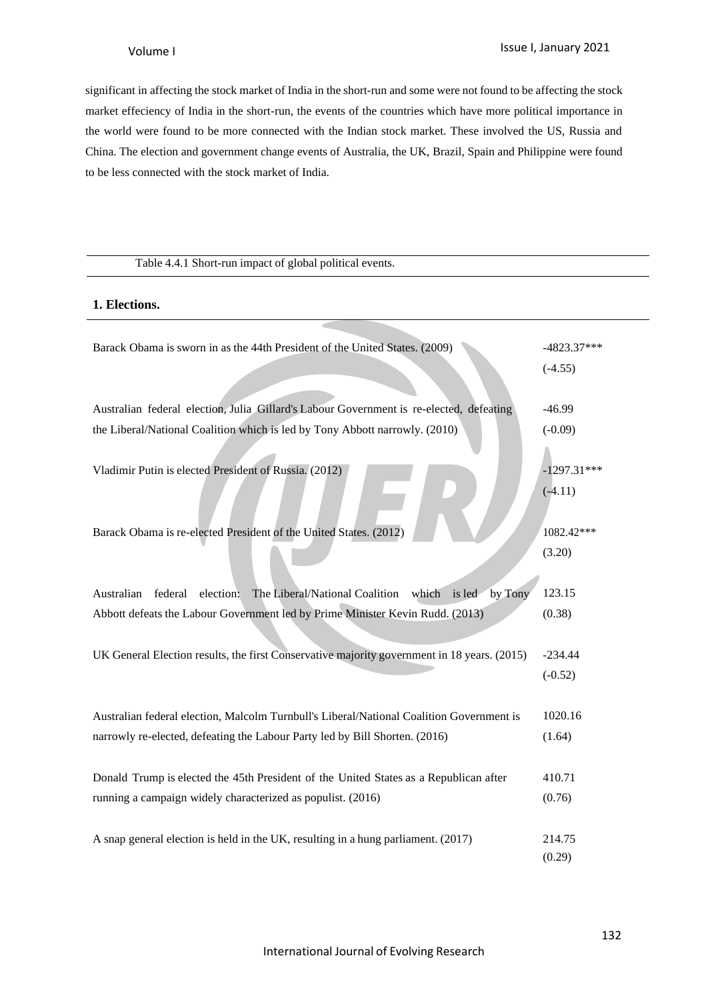significant in affecting the stock market of India in the short-run and some were not found to be affecting the stock market effeciency of India in the short-run, the events of the countries which have more political importance in the world were found to be more connected with the Indian stock market. These involved the US, Russia and China. The election and government change events of Australia, the UK, Brazil, Spain and Philippine were found to be less connected with the stock market of India.

# Table 4.4.1 Short-run impact of global political events. **1. Elections.** Barack Obama is sworn in as the 44th President of the United States. (2009) -4823.37\*\*\* (-4.55) Australian federal election, Julia Gillard's Labour Government is re-elected, defeating the Liberal/National Coalition which is led by Tony Abbott narrowly. (2010) -46.99  $(-0.09)$ Vladimir Putin is elected President of Russia. (2012) -1297.31\*\*\*  $(-4.11)$ Barack Obama is re-elected President of the United States. (2012) 1082.42\*\*\* (3.20) Australian federal election: The Liberal/National Coalition which is led by Tony Abbott defeats the Labour Government led by Prime Minister Kevin Rudd. (2013) 123.15 (0.38) UK General Election results, the first Conservative majority government in 18 years. (2015) -234.44  $(-0.52)$ Australian federal election, Malcolm Turnbull's Liberal/National Coalition Government is narrowly re-elected, defeating the Labour Party led by Bill Shorten. (2016) 1020.16 (1.64) Donald Trump is elected the 45th President of the United States as a Republican after running a campaign widely characterized as populist. (2016) 410.71 (0.76) A snap general election is held in the UK, resulting in a hung parliament. (2017) 214.75 (0.29)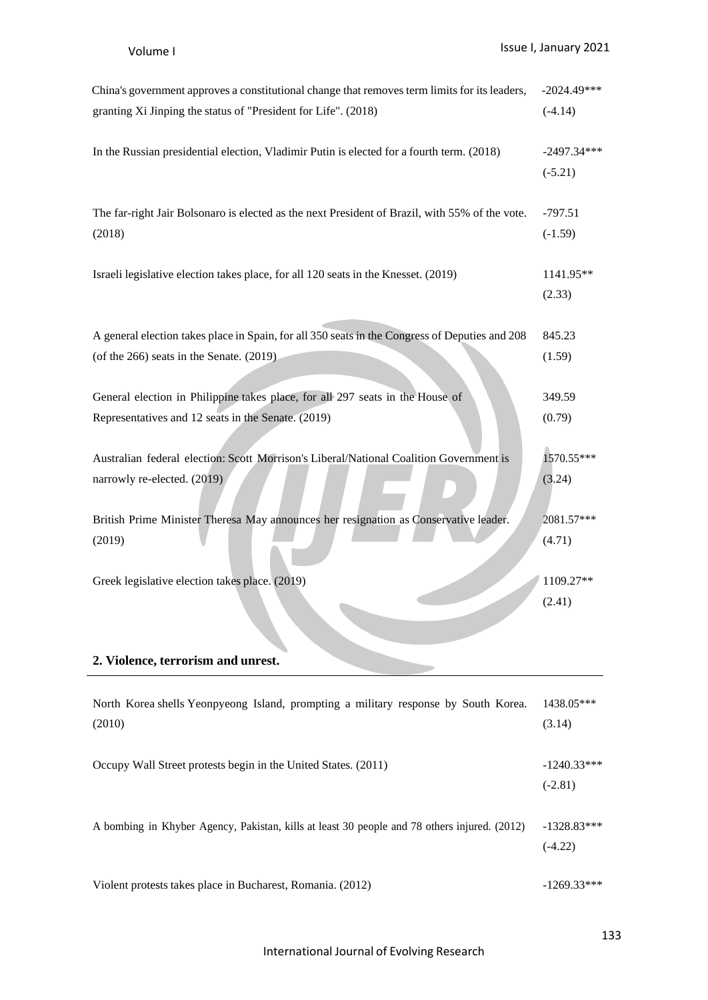| China's government approves a constitutional change that removes term limits for its leaders,  | $-2024.49***$              |
|------------------------------------------------------------------------------------------------|----------------------------|
| granting Xi Jinping the status of "President for Life". (2018)                                 | $(-4.14)$                  |
| In the Russian presidential election, Vladimir Putin is elected for a fourth term. (2018)      | $-2497.34***$<br>$(-5.21)$ |
| The far-right Jair Bolsonaro is elected as the next President of Brazil, with 55% of the vote. | $-797.51$                  |
| (2018)                                                                                         | $(-1.59)$                  |
| Israeli legislative election takes place, for all 120 seats in the Knesset. (2019)             | 1141.95**<br>(2.33)        |
| A general election takes place in Spain, for all 350 seats in the Congress of Deputies and 208 | 845.23                     |
| (of the $266$ ) seats in the Senate. $(2019)$                                                  | (1.59)                     |
| General election in Philippine takes place, for all 297 seats in the House of                  | 349.59                     |
| Representatives and 12 seats in the Senate. (2019)                                             | (0.79)                     |
| Australian federal election: Scott Morrison's Liberal/National Coalition Government is         | 1570.55***                 |
| narrowly re-elected. (2019)                                                                    | (3.24)                     |
| British Prime Minister Theresa May announces her resignation as Conservative leader.           | 2081.57***                 |
| (2019)                                                                                         | (4.71)                     |
| Greek legislative election takes place. (2019)                                                 | 1109.27**<br>(2.41)        |
| 2. Violence, terrorism and unrest.                                                             |                            |
| North Korea shells Yeonpyeong Island, prompting a military response by South Korea.            | 1438.05***                 |
| (2010)                                                                                         | (3.14)                     |
| Occupy Wall Street protests begin in the United States. (2011)                                 | $-1240.33***$<br>$(-2.81)$ |
| A bombing in Khyber Agency, Pakistan, kills at least 30 people and 78 others injured. (2012)   | $-1328.83***$<br>$(-4.22)$ |

Violent protests takes place in Bucharest, Romania. (2012) -1269.33\*\*\*

International Journal of Evolving Research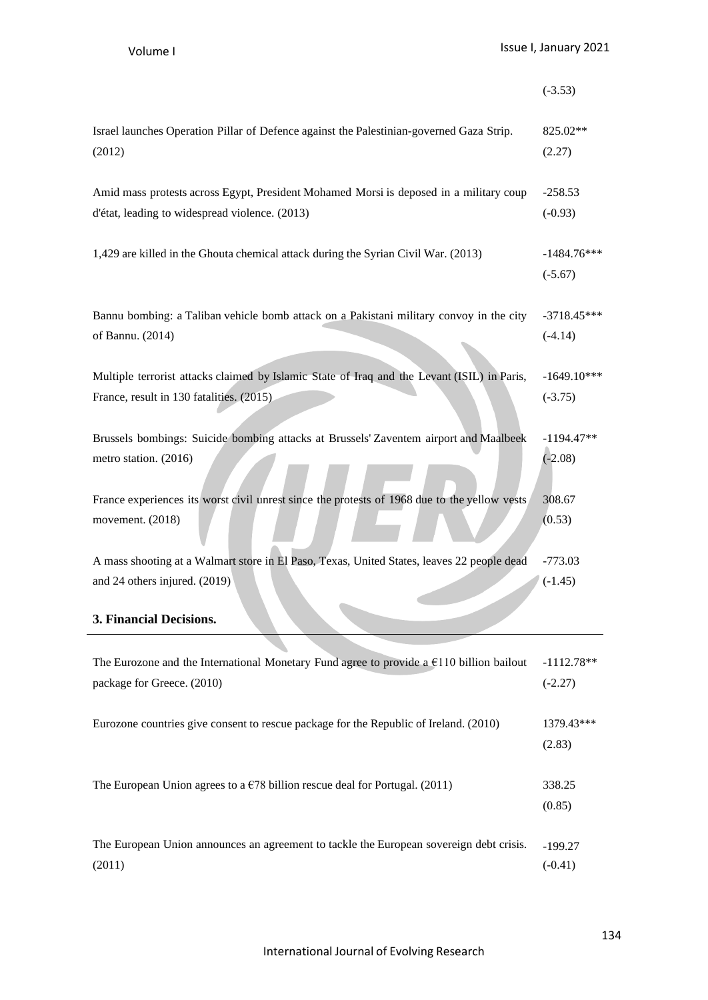|                                                                                              | $(-3.53)$                  |
|----------------------------------------------------------------------------------------------|----------------------------|
| Israel launches Operation Pillar of Defence against the Palestinian-governed Gaza Strip.     | 825.02**                   |
| (2012)                                                                                       | (2.27)                     |
| Amid mass protests across Egypt, President Mohamed Morsi is deposed in a military coup       | $-258.53$                  |
| d'état, leading to widespread violence. (2013)                                               | $(-0.93)$                  |
| 1,429 are killed in the Ghouta chemical attack during the Syrian Civil War. (2013)           | $-1484.76***$<br>$(-5.67)$ |
| Bannu bombing: a Taliban vehicle bomb attack on a Pakistani military convoy in the city      | $-3718.45***$              |
| of Bannu. (2014)                                                                             | $(-4.14)$                  |
| Multiple terrorist attacks claimed by Islamic State of Iraq and the Levant (ISIL) in Paris,  | $-1649.10***$              |
| France, result in 130 fatalities. (2015).                                                    | $(-3.75)$                  |
| Brussels bombings: Suicide bombing attacks at Brussels' Zaventem airport and Maalbeek        | $-1194.47**$               |
| metro station. (2016)                                                                        | $(-2.08)$                  |
| France experiences its worst civil unrest since the protests of 1968 due to the yellow vests | 308.67                     |
| movement. (2018)                                                                             | (0.53)                     |
| A mass shooting at a Walmart store in El Paso, Texas, United States, leaves 22 people dead   | $-773.03$                  |
| and 24 others injured. (2019)                                                                | $(-1.45)$                  |
| 3. Financial Decisions.                                                                      |                            |
| The Eurozone and the International Monetary Fund agree to provide a $E$ 110 billion bailout  | $-1112.78**$               |
| package for Greece. (2010)                                                                   | $(-2.27)$                  |
| Eurozone countries give consent to rescue package for the Republic of Ireland. (2010)        | 1379.43***<br>(2.83)       |
| The European Union agrees to a $\epsilon$ 78 billion rescue deal for Portugal. (2011)        | 338.25<br>(0.85)           |

| The European Union announces an agreement to tackle the European sovereign debt crisis. [199.27] |           |
|--------------------------------------------------------------------------------------------------|-----------|
| (2011)                                                                                           | $(-0.41)$ |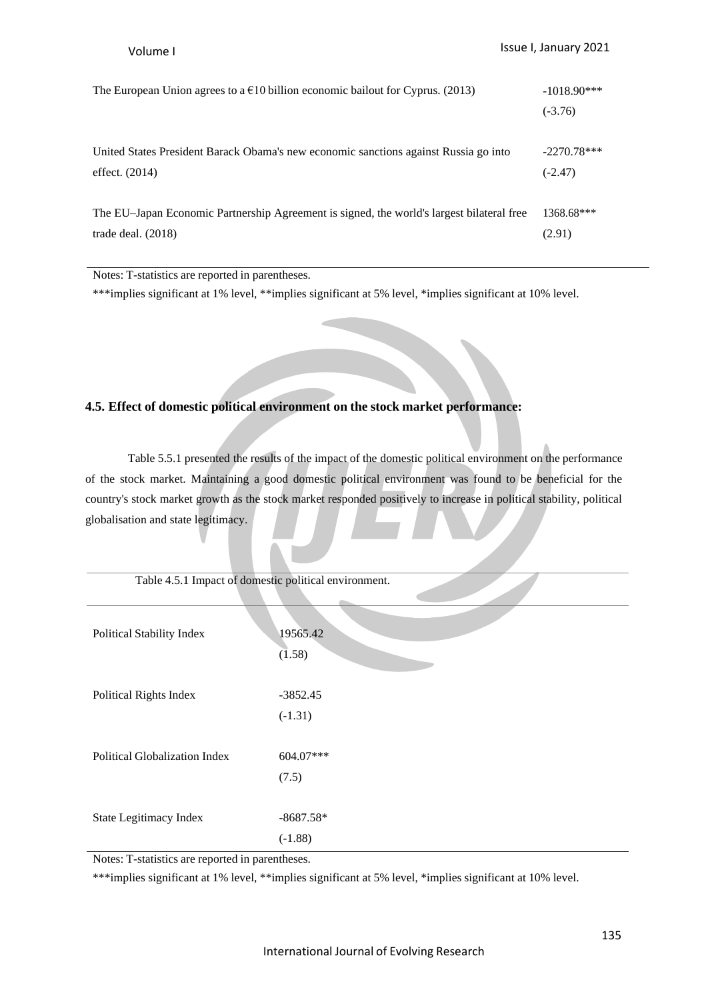| The European Union agrees to a $\epsilon$ 10 billion economic bailout for Cyprus. (2013)  | $-1018.90***$ |
|-------------------------------------------------------------------------------------------|---------------|
|                                                                                           | $(-3.76)$     |
|                                                                                           |               |
| United States President Barack Obama's new economic sanctions against Russia go into      | $-2270.78***$ |
| effect. $(2014)$                                                                          | $(-2.47)$     |
|                                                                                           |               |
| The EU-Japan Economic Partnership Agreement is signed, the world's largest bilateral free | 1368.68***    |
| trade deal. $(2018)$                                                                      | (2.91)        |
|                                                                                           |               |

Notes: T-statistics are reported in parentheses.

\*\*\*implies significant at 1% level, \*\*implies significant at 5% level, \*implies significant at 10% level.

# **4.5. Effect of domestic political environment on the stock market performance:**

Table 5.5.1 presented the results of the impact of the domestic political environment on the performance of the stock market. Maintaining a good domestic political environment was found to be beneficial for the country's stock market growth as the stock market responded positively to increase in political stability, political globalisation and state legitimacy.

| Table 4.5.1 Impact of domestic political environment. |  |  |  |
|-------------------------------------------------------|--|--|--|
|-------------------------------------------------------|--|--|--|

| Political Stability Index            | 19565.42<br>(1.58)       |
|--------------------------------------|--------------------------|
| Political Rights Index               | $-3852.45$<br>$(-1.31)$  |
| <b>Political Globalization Index</b> | 604.07***<br>(7.5)       |
| State Legitimacy Index               | $-8687.58*$<br>$(-1.88)$ |

Notes: T-statistics are reported in parentheses.

\*\*\*implies significant at 1% level, \*\*implies significant at 5% level, \*implies significant at 10% level.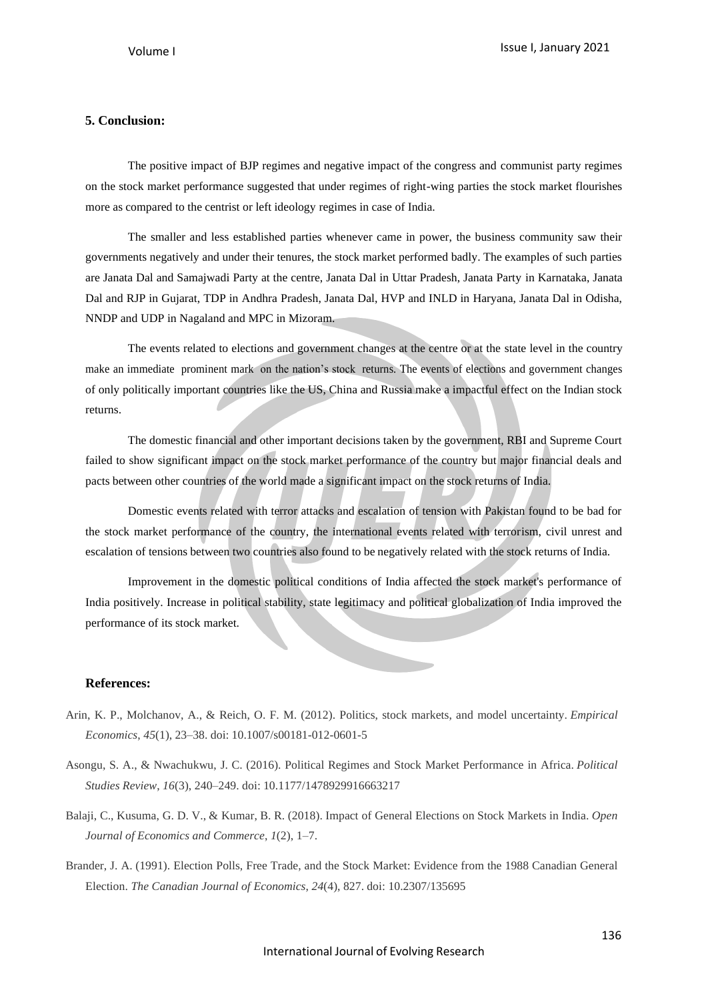# **5. Conclusion:**

The positive impact of BJP regimes and negative impact of the congress and communist party regimes on the stock market performance suggested that under regimes of right-wing parties the stock market flourishes more as compared to the centrist or left ideology regimes in case of India.

The smaller and less established parties whenever came in power, the business community saw their governments negatively and under their tenures, the stock market performed badly. The examples of such parties are Janata Dal and Samajwadi Party at the centre, Janata Dal in Uttar Pradesh, Janata Party in Karnataka, Janata Dal and RJP in Gujarat, TDP in Andhra Pradesh, Janata Dal, HVP and INLD in Haryana, Janata Dal in Odisha, NNDP and UDP in Nagaland and MPC in Mizoram.

The events related to elections and government changes at the centre or at the state level in the country make an immediate prominent mark on the nation's stock returns. The events of elections and government changes of only politically important countries like the US, China and Russia make a impactful effect on the Indian stock returns.

The domestic financial and other important decisions taken by the government, RBI and Supreme Court failed to show significant impact on the stock market performance of the country but major financial deals and pacts between other countries of the world made a significant impact on the stock returns of India.

Domestic events related with terror attacks and escalation of tension with Pakistan found to be bad for the stock market performance of the country, the international events related with terrorism, civil unrest and escalation of tensions between two countries also found to be negatively related with the stock returns of India.

Improvement in the domestic political conditions of India affected the stock market's performance of India positively. Increase in political stability, state legitimacy and political globalization of India improved the performance of its stock market.

#### **References:**

- Arin, K. P., Molchanov, A., & Reich, O. F. M. (2012). Politics, stock markets, and model uncertainty. *Empirical Economics*, *45*(1), 23–38. doi: 10.1007/s00181-012-0601-5
- Asongu, S. A., & Nwachukwu, J. C. (2016). Political Regimes and Stock Market Performance in Africa. *Political Studies Review*, *16*(3), 240–249. doi: 10.1177/1478929916663217
- Balaji, C., Kusuma, G. D. V., & Kumar, B. R. (2018). Impact of General Elections on Stock Markets in India. *Open Journal of Economics and Commerce*, *1*(2), 1–7.
- Brander, J. A. (1991). Election Polls, Free Trade, and the Stock Market: Evidence from the 1988 Canadian General Election. *The Canadian Journal of Economics*, *24*(4), 827. doi: 10.2307/135695